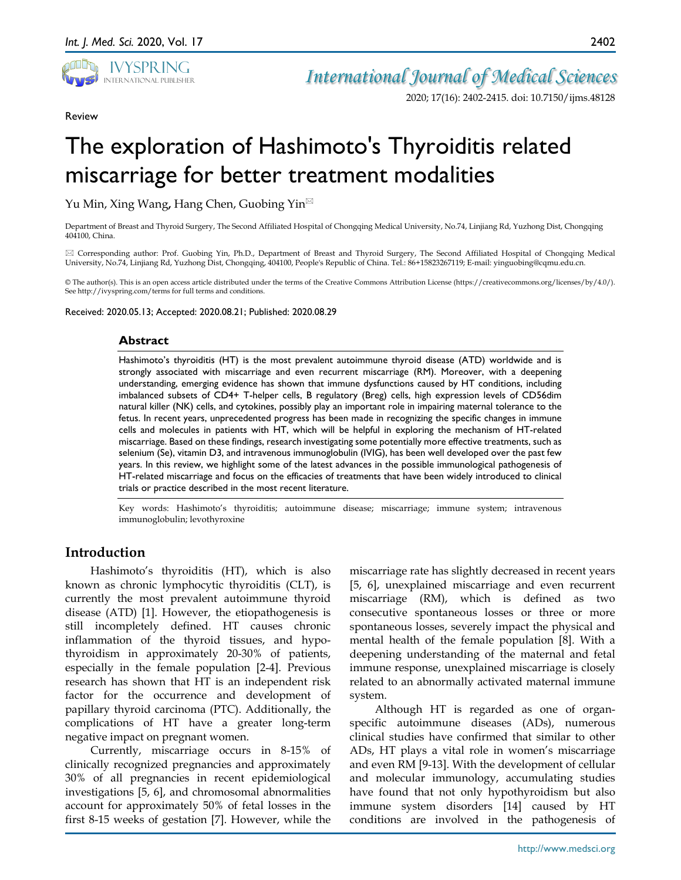

*International Journal of Medical Sciences*

2020; 17(16): 2402-2415. doi: 10.7150/ijms.48128

Review

# The exploration of Hashimoto's Thyroiditis related miscarriage for better treatment modalities

Yu Min, Xing Wang**,** Hang Chen, Guobing Yin

Department of Breast and Thyroid Surgery, The Second Affiliated Hospital of Chongqing Medical University, No.74, Linjiang Rd, Yuzhong Dist, Chongqing 404100, China.

 Corresponding author: Prof. Guobing Yin, Ph.D., Department of Breast and Thyroid Surgery, The Second Affiliated Hospital of Chongqing Medical University, No.74, Linjiang Rd, Yuzhong Dist, Chongqing, 404100, People's Republic of China. Tel.: 86+15823267119; E-mail: yinguobing@cqmu.edu.cn.

© The author(s). This is an open access article distributed under the terms of the Creative Commons Attribution License (https://creativecommons.org/licenses/by/4.0/). See http://ivyspring.com/terms for full terms and conditions.

Received: 2020.05.13; Accepted: 2020.08.21; Published: 2020.08.29

### **Abstract**

Hashimoto's thyroiditis (HT) is the most prevalent autoimmune thyroid disease (ATD) worldwide and is strongly associated with miscarriage and even recurrent miscarriage (RM). Moreover, with a deepening understanding, emerging evidence has shown that immune dysfunctions caused by HT conditions, including imbalanced subsets of CD4+ T-helper cells, B regulatory (Breg) cells, high expression levels of CD56dim natural killer (NK) cells, and cytokines, possibly play an important role in impairing maternal tolerance to the fetus. In recent years, unprecedented progress has been made in recognizing the specific changes in immune cells and molecules in patients with HT, which will be helpful in exploring the mechanism of HT-related miscarriage. Based on these findings, research investigating some potentially more effective treatments, such as selenium (Se), vitamin D3, and intravenous immunoglobulin (IVIG), has been well developed over the past few years. In this review, we highlight some of the latest advances in the possible immunological pathogenesis of HT-related miscarriage and focus on the efficacies of treatments that have been widely introduced to clinical trials or practice described in the most recent literature.

Key words: Hashimoto's thyroiditis; autoimmune disease; miscarriage; immune system; intravenous immunoglobulin; levothyroxine

# **Introduction**

Hashimoto's thyroiditis (HT), which is also known as chronic lymphocytic thyroiditis (CLT), is currently the most prevalent autoimmune thyroid disease (ATD) [1]. However, the etiopathogenesis is still incompletely defined. HT causes chronic inflammation of the thyroid tissues, and hypothyroidism in approximately 20-30% of patients, especially in the female population [2-4]. Previous research has shown that HT is an independent risk factor for the occurrence and development of papillary thyroid carcinoma (PTC). Additionally, the complications of HT have a greater long-term negative impact on pregnant women.

Currently, miscarriage occurs in 8-15% of clinically recognized pregnancies and approximately 30% of all pregnancies in recent epidemiological investigations [5, 6], and chromosomal abnormalities account for approximately 50% of fetal losses in the first 8-15 weeks of gestation [7]. However, while the

miscarriage rate has slightly decreased in recent years [5, 6], unexplained miscarriage and even recurrent miscarriage (RM), which is defined as two consecutive spontaneous losses or three or more spontaneous losses, severely impact the physical and mental health of the female population [8]. With a deepening understanding of the maternal and fetal immune response, unexplained miscarriage is closely related to an abnormally activated maternal immune system.

Although HT is regarded as one of organspecific autoimmune diseases (ADs), numerous clinical studies have confirmed that similar to other ADs, HT plays a vital role in women's miscarriage and even RM [9-13]. With the development of cellular and molecular immunology, accumulating studies have found that not only hypothyroidism but also immune system disorders [14] caused by HT conditions are involved in the pathogenesis of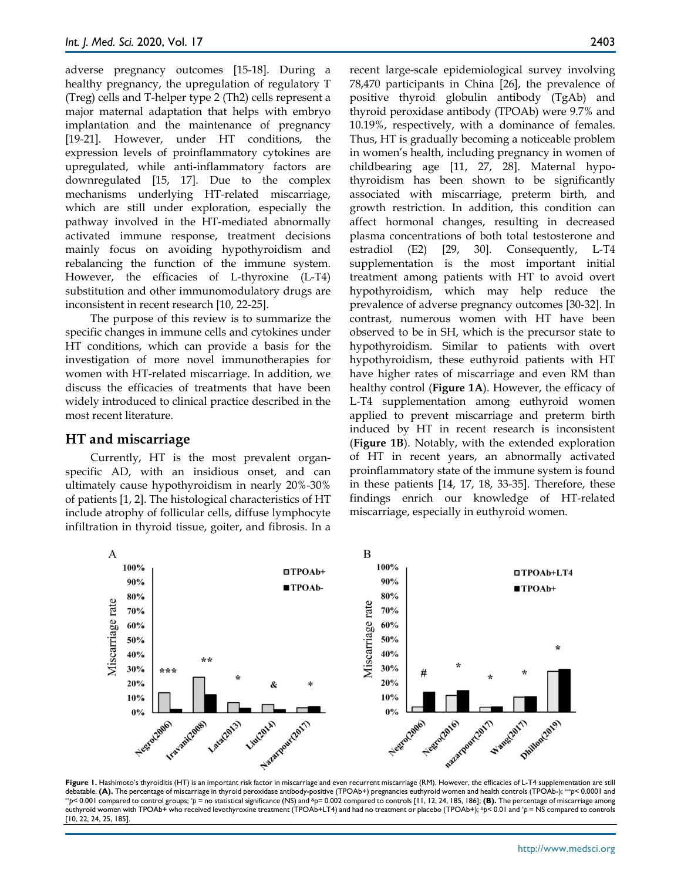adverse pregnancy outcomes [15-18]. During a healthy pregnancy, the upregulation of regulatory T (Treg) cells and T-helper type 2 (Th2) cells represent a major maternal adaptation that helps with embryo implantation and the maintenance of pregnancy [19-21]. However, under HT conditions, the expression levels of proinflammatory cytokines are upregulated, while anti-inflammatory factors are downregulated [15, 17]. Due to the complex mechanisms underlying HT-related miscarriage, which are still under exploration, especially the pathway involved in the HT-mediated abnormally activated immune response, treatment decisions mainly focus on avoiding hypothyroidism and rebalancing the function of the immune system. However, the efficacies of L-thyroxine (L-T4) substitution and other immunomodulatory drugs are inconsistent in recent research [10, 22-25].

The purpose of this review is to summarize the specific changes in immune cells and cytokines under HT conditions, which can provide a basis for the investigation of more novel immunotherapies for women with HT-related miscarriage. In addition, we discuss the efficacies of treatments that have been widely introduced to clinical practice described in the most recent literature.

## **HT and miscarriage**

Currently, HT is the most prevalent organspecific AD, with an insidious onset, and can ultimately cause hypothyroidism in nearly 20%-30% of patients [1, 2]. The histological characteristics of HT include atrophy of follicular cells, diffuse lymphocyte infiltration in thyroid tissue, goiter, and fibrosis. In a recent large-scale epidemiological survey involving 78,470 participants in China [26], the prevalence of positive thyroid globulin antibody (TgAb) and thyroid peroxidase antibody (TPOAb) were 9.7% and 10.19%, respectively, with a dominance of females. Thus, HT is gradually becoming a noticeable problem in women's health, including pregnancy in women of childbearing age [11, 27, 28]. Maternal hypothyroidism has been shown to be significantly associated with miscarriage, preterm birth, and growth restriction. In addition, this condition can affect hormonal changes, resulting in decreased plasma concentrations of both total testosterone and estradiol (E2) [29, 30]. Consequently, L-T4 supplementation is the most important initial treatment among patients with HT to avoid overt hypothyroidism, which may help reduce the prevalence of adverse pregnancy outcomes [30-32]. In contrast, numerous women with HT have been observed to be in SH, which is the precursor state to hypothyroidism. Similar to patients with overt hypothyroidism, these euthyroid patients with HT have higher rates of miscarriage and even RM than healthy control (**Figure 1A**). However, the efficacy of L-T4 supplementation among euthyroid women applied to prevent miscarriage and preterm birth induced by HT in recent research is inconsistent (**Figure 1B**). Notably, with the extended exploration of HT in recent years, an abnormally activated proinflammatory state of the immune system is found in these patients [14, 17, 18, 33-35]. Therefore, these findings enrich our knowledge of HT-related miscarriage, especially in euthyroid women.



**Figure 1.** Hashimoto's thyroiditis (HT) is an important risk factor in miscarriage and even recurrent miscarriage (RM). However, the efficacies of L-T4 supplementation are still debatable. (A). The percentage of miscarria \*p< 0.001 compared to control groups; \*p = no statistical significance (NS) and \*p= 0.002 compared to controls [11, 12, 24, 185, 186]; (B). The percentage of miscarriage among euthyroid women with TPOAb+ who received levothyroxine treatment (TPOAb+LT4) and had no treatment or placebo (TPOAb+); #*p*< 0.01 and \**p* = NS compared to controls [10, 22, 24, 25, 185].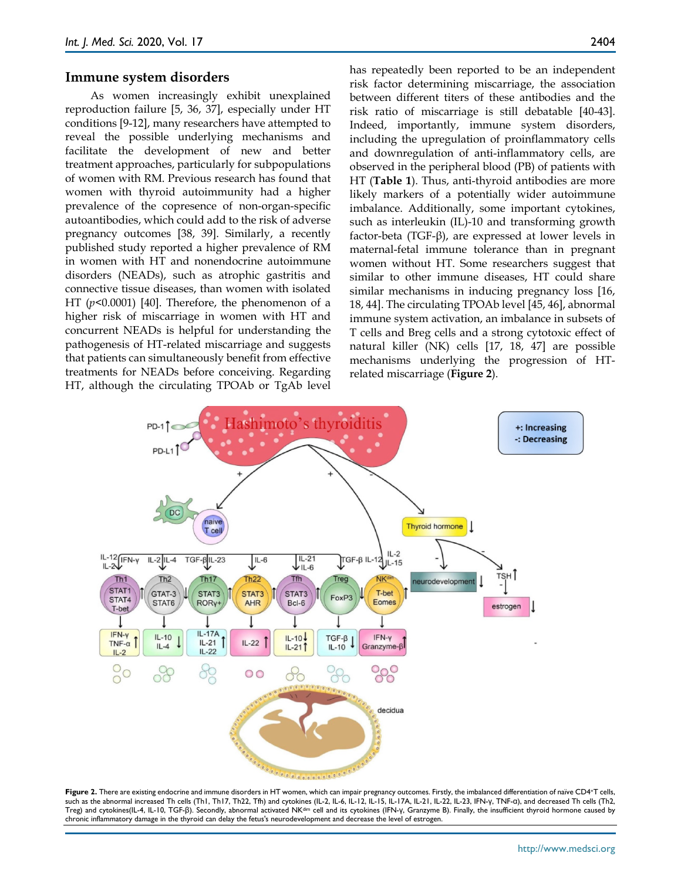#### **Immune system disorders**

As women increasingly exhibit unexplained reproduction failure [5, 36, 37], especially under HT conditions [9-12], many researchers have attempted to reveal the possible underlying mechanisms and facilitate the development of new and better treatment approaches, particularly for subpopulations of women with RM. Previous research has found that women with thyroid autoimmunity had a higher prevalence of the copresence of non-organ-specific autoantibodies, which could add to the risk of adverse pregnancy outcomes [38, 39]. Similarly, a recently published study reported a higher prevalence of RM in women with HT and nonendocrine autoimmune disorders (NEADs), such as atrophic gastritis and connective tissue diseases, than women with isolated HT (*p*<0.0001) [40]. Therefore, the phenomenon of a higher risk of miscarriage in women with HT and concurrent NEADs is helpful for understanding the pathogenesis of HT-related miscarriage and suggests that patients can simultaneously benefit from effective treatments for NEADs before conceiving. Regarding HT, although the circulating TPOAb or TgAb level

has repeatedly been reported to be an independent risk factor determining miscarriage, the association between different titers of these antibodies and the risk ratio of miscarriage is still debatable [40-43]. Indeed, importantly, immune system disorders, including the upregulation of proinflammatory cells and downregulation of anti-inflammatory cells, are observed in the peripheral blood (PB) of patients with HT (**Table 1**). Thus, anti-thyroid antibodies are more likely markers of a potentially wider autoimmune imbalance. Additionally, some important cytokines, such as interleukin (IL)-10 and transforming growth factor-beta (TGF-β), are expressed at lower levels in maternal-fetal immune tolerance than in pregnant women without HT. Some researchers suggest that similar to other immune diseases, HT could share similar mechanisms in inducing pregnancy loss [16, 18, 44]. The circulating TPOAb level [45, 46], abnormal immune system activation, an imbalance in subsets of T cells and Breg cells and a strong cytotoxic effect of natural killer (NK) cells [17, 18, 47] are possible mechanisms underlying the progression of HTrelated miscarriage (**Figure 2**).



**Figure 2.** There are existing endocrine and immune disorders in HT women, which can impair pregnancy outcomes. Firstly, the imbalanced differentiation of naïve CD4+T cells, such as the abnormal increased Th cells (Th1, Th17, Th22, Tfh) and cytokines (IL-2, IL-6, IL-12, IL-15, IL-17A, IL-21, IL-22, IL-23, IFN-γ, TNF-α), and decreased Th cells (Th2, Treg) and cytokines(IL-4, IL-10, TGF-β). Secondly, abnormal activated NKdim cell and its cytokines (IFN-γ, Granzyme B). Finally, the insufficient thyroid hormone caused by chronic inflammatory damage in the thyroid can delay the fetus's neurodevelopment and decrease the level of estrogen.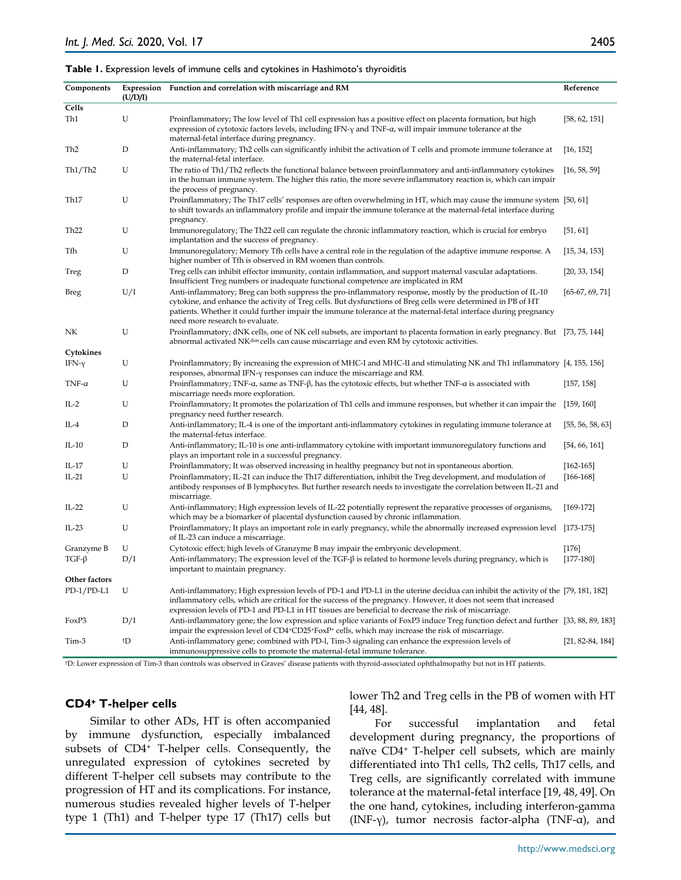#### **Table 1.** Expression levels of immune cells and cytokines in Hashimoto's thyroiditis

| Components       | (U/D/I) | Expression Function and correlation with miscarriage and RM                                                                                                                                                                                                                                                                                                                      | Reference          |
|------------------|---------|----------------------------------------------------------------------------------------------------------------------------------------------------------------------------------------------------------------------------------------------------------------------------------------------------------------------------------------------------------------------------------|--------------------|
| Cells            |         |                                                                                                                                                                                                                                                                                                                                                                                  |                    |
| Th1              | U       | Proinflammatory; The low level of Th1 cell expression has a positive effect on placenta formation, but high<br>expression of cytotoxic factors levels, including IFN- $\gamma$ and TNF- $\alpha$ , will impair immune tolerance at the<br>maternal-fetal interface during pregnancy.                                                                                             | [58, 62, 151]      |
| Th <sub>2</sub>  | D       | Anti-inflammatory; Th2 cells can significantly inhibit the activation of T cells and promote immune tolerance at<br>the maternal-fetal interface.                                                                                                                                                                                                                                | [16, 152]          |
| Th1/Th2          | U       | The ratio of Th1/Th2 reflects the functional balance between proinflammatory and anti-inflammatory cytokines<br>in the human immune system. The higher this ratio, the more severe inflammatory reaction is, which can impair<br>the process of pregnancy.                                                                                                                       | [16, 58, 59]       |
| Th <sub>17</sub> | U       | Proinflammatory; The Th17 cells' responses are often overwhelming in HT, which may cause the immune system [50, 61]<br>to shift towards an inflammatory profile and impair the immune tolerance at the maternal-fetal interface during<br>pregnancy.                                                                                                                             |                    |
| Th <sub>22</sub> | U       | Immunoregulatory; The Th22 cell can regulate the chronic inflammatory reaction, which is crucial for embryo<br>implantation and the success of pregnancy.                                                                                                                                                                                                                        | [51, 61]           |
| Tfh              | U       | Immunoregulatory; Memory Tfh cells have a central role in the regulation of the adaptive immune response. A<br>higher number of Tfh is observed in RM women than controls.                                                                                                                                                                                                       | [15, 34, 153]      |
| Treg             | D       | Treg cells can inhibit effector immunity, contain inflammation, and support maternal vascular adaptations.<br>Insufficient Treg numbers or inadequate functional competence are implicated in RM                                                                                                                                                                                 | [20, 33, 154]      |
| Breg             | U/I     | Anti-inflammatory; Breg can both suppress the pro-inflammatory response, mostly by the production of IL-10<br>cytokine, and enhance the activity of Treg cells. But dysfunctions of Breg cells were determined in PB of HT<br>patients. Whether it could further impair the immune tolerance at the maternal-fetal interface during pregnancy<br>need more research to evaluate. | $[65-67, 69, 71]$  |
| NΚ               | U       | Proinflammatory; dNK cells, one of NK cell subsets, are important to placenta formation in early pregnancy. But [73, 75, 144]<br>abnormal activated NK <sup>dim</sup> cells can cause miscarriage and even RM by cytotoxic activities.                                                                                                                                           |                    |
| Cytokines        |         |                                                                                                                                                                                                                                                                                                                                                                                  |                    |
| IFN- $\gamma$    | U       | Proinflammatory; By increasing the expression of MHC-I and MHC-II and stimulating NK and Th1 inflammatory [4, 155, 156]<br>responses, abnormal IFN- $\gamma$ responses can induce the miscarriage and RM.                                                                                                                                                                        |                    |
| TNF- $\alpha$    | U       | Proinflammatory; TNF- $\alpha$ , same as TNF- $\beta$ , has the cytotoxic effects, but whether TNF- $\alpha$ is associated with<br>miscarriage needs more exploration.                                                                                                                                                                                                           | [157, 158]         |
| $IL-2$           | U       | Proinflammatory; It promotes the polarization of Th1 cells and immune responses, but whether it can impair the<br>pregnancy need further research.                                                                                                                                                                                                                               | [159, 160]         |
| IL-4             | D       | Anti-inflammatory; IL-4 is one of the important anti-inflammatory cytokines in regulating immune tolerance at<br>the maternal-fetus interface.                                                                                                                                                                                                                                   | [55, 56, 58, 63]   |
| $IL-10$          | D       | Anti-inflammatory; IL-10 is one anti-inflammatory cytokine with important immunoregulatory functions and<br>plays an important role in a successful pregnancy.                                                                                                                                                                                                                   | [54, 66, 161]      |
| IL-17            | U       | Proinflammatory; It was observed increasing in healthy pregnancy but not in spontaneous abortion.                                                                                                                                                                                                                                                                                | $[162 - 165]$      |
| $IL-21$          | U       | Proinflammatory; IL-21 can induce the Th17 differentiation, inhibit the Treg development, and modulation of<br>antibody responses of B lymphocytes. But further research needs to investigate the correlation between IL-21 and<br>miscarriage.                                                                                                                                  | $[166-168]$        |
| $IL-22$          | U       | Anti-inflammatory; High expression levels of IL-22 potentially represent the reparative processes of organisms,<br>which may be a biomarker of placental dysfunction caused by chronic inflammation.                                                                                                                                                                             | $[169-172]$        |
| $IL-23$          | U       | Proinflammatory; It plays an important role in early pregnancy, while the abnormally increased expression level [173-175]<br>of IL-23 can induce a miscarriage.                                                                                                                                                                                                                  |                    |
| Granzyme B       | U       | Cytotoxic effect; high levels of Granzyme B may impair the embryonic development.                                                                                                                                                                                                                                                                                                | $[176]$            |
| $TGF-\beta$      | D/I     | Anti-inflammatory; The expression level of the TGF- $\beta$ is related to hormone levels during pregnancy, which is<br>important to maintain pregnancy.                                                                                                                                                                                                                          | $[177-180]$        |
| Other factors    |         |                                                                                                                                                                                                                                                                                                                                                                                  |                    |
| $PD-1/PD-L1$     | U       | Anti-inflammatory; High expression levels of PD-1 and PD-L1 in the uterine decidua can inhibit the activity of the [79, 181, 182]<br>inflammatory cells, which are critical for the success of the pregnancy. However, it does not seem that increased<br>expression levels of PD-1 and PD-L1 in HT tissues are beneficial to decrease the risk of miscarriage.                  |                    |
| FoxP3            | D/I     | Anti-inflammatory gene; the low expression and splice variants of FoxP3 induce Treg function defect and further [33,88,89,183]<br>impair the expression level of $CD4$ <sup>+</sup> $CD25$ <sup>+</sup> $FoxP$ <sup>+</sup> cells, which may increase the risk of miscarriage.                                                                                                   |                    |
| Tim-3            | †D      | Anti-inflammatory gene; combined with PD-1, Tim-3 signaling can enhance the expression levels of<br>immunosuppressive cells to promote the maternal-fetal immune tolerance.                                                                                                                                                                                                      | $[21, 82-84, 184]$ |

†D: Lower expression of Tim-3 than controls was observed in Graves' disease patients with thyroid-associated ophthalmopathy but not in HT patients.

## **CD4+ T-helper cells**

Similar to other ADs, HT is often accompanied by immune dysfunction, especially imbalanced subsets of CD4+ T-helper cells. Consequently, the unregulated expression of cytokines secreted by different T-helper cell subsets may contribute to the progression of HT and its complications. For instance, numerous studies revealed higher levels of T-helper type 1 (Th1) and T-helper type 17 (Th17) cells but lower Th2 and Treg cells in the PB of women with HT [44, 48].

For successful implantation and fetal development during pregnancy, the proportions of naïve CD4+ T-helper cell subsets, which are mainly differentiated into Th1 cells, Th2 cells, Th17 cells, and Treg cells, are significantly correlated with immune tolerance at the maternal-fetal interface [19, 48, 49]. On the one hand, cytokines, including interferon-gamma (INF-γ), tumor necrosis factor-alpha (TNF-α), and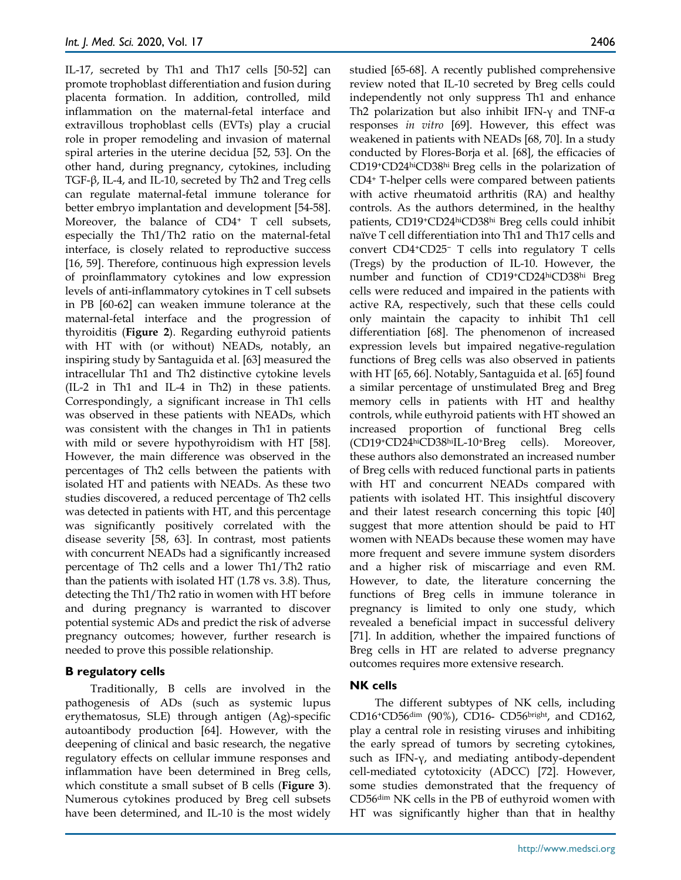IL-17, secreted by Th1 and Th17 cells [50-52] can promote trophoblast differentiation and fusion during placenta formation. In addition, controlled, mild inflammation on the maternal-fetal interface and extravillous trophoblast cells (EVTs) play a crucial role in proper remodeling and invasion of maternal spiral arteries in the uterine decidua [52, 53]. On the other hand, during pregnancy, cytokines, including TGF-β, IL-4, and IL-10, secreted by Th2 and Treg cells can regulate maternal-fetal immune tolerance for better embryo implantation and development [54-58]. Moreover, the balance of CD4<sup>+</sup> T cell subsets, especially the Th1/Th2 ratio on the maternal-fetal interface, is closely related to reproductive success [16, 59]. Therefore, continuous high expression levels of proinflammatory cytokines and low expression levels of anti-inflammatory cytokines in T cell subsets in PB [60-62] can weaken immune tolerance at the maternal-fetal interface and the progression of thyroiditis (**Figure 2**). Regarding euthyroid patients with HT with (or without) NEADs, notably, an inspiring study by Santaguida et al. [63] measured the intracellular Th1 and Th2 distinctive cytokine levels (IL-2 in Th1 and IL-4 in Th2) in these patients. Correspondingly, a significant increase in Th1 cells was observed in these patients with NEADs, which was consistent with the changes in Th1 in patients with mild or severe hypothyroidism with HT [58]. However, the main difference was observed in the percentages of Th2 cells between the patients with isolated HT and patients with NEADs. As these two studies discovered, a reduced percentage of Th2 cells was detected in patients with HT, and this percentage was significantly positively correlated with the disease severity [58, 63]. In contrast, most patients with concurrent NEADs had a significantly increased percentage of Th2 cells and a lower Th1/Th2 ratio than the patients with isolated HT (1.78 vs. 3.8). Thus, detecting the Th1/Th2 ratio in women with HT before and during pregnancy is warranted to discover potential systemic ADs and predict the risk of adverse pregnancy outcomes; however, further research is needed to prove this possible relationship.

## **B regulatory cells**

Traditionally, B cells are involved in the pathogenesis of ADs (such as systemic lupus erythematosus, SLE) through antigen (Ag)-specific autoantibody production [64]. However, with the deepening of clinical and basic research, the negative regulatory effects on cellular immune responses and inflammation have been determined in Breg cells, which constitute a small subset of B cells (**Figure 3**). Numerous cytokines produced by Breg cell subsets have been determined, and IL-10 is the most widely

studied [65-68]. A recently published comprehensive review noted that IL-10 secreted by Breg cells could independently not only suppress Th1 and enhance Th2 polarization but also inhibit IFN-γ and TNF-α responses *in vitro* [69]. However, this effect was weakened in patients with NEADs [68, 70]. In a study conducted by Flores-Borja et al. [68], the efficacies of CD19+CD24hiCD38hi Breg cells in the polarization of CD4+ T-helper cells were compared between patients with active rheumatoid arthritis (RA) and healthy controls. As the authors determined, in the healthy patients, CD19+CD24hiCD38hi Breg cells could inhibit naïve T cell differentiation into Th1 and Th17 cells and convert CD4+CD25<sup>−</sup> T cells into regulatory T cells (Tregs) by the production of IL-10. However, the number and function of CD19+CD24hiCD38hi Breg cells were reduced and impaired in the patients with active RA, respectively, such that these cells could only maintain the capacity to inhibit Th1 cell differentiation [68]. The phenomenon of increased expression levels but impaired negative-regulation functions of Breg cells was also observed in patients with HT [65, 66]. Notably, Santaguida et al. [65] found a similar percentage of unstimulated Breg and Breg memory cells in patients with HT and healthy controls, while euthyroid patients with HT showed an increased proportion of functional Breg cells (CD19+CD24hiCD38hiIL-10+Breg cells). Moreover, these authors also demonstrated an increased number of Breg cells with reduced functional parts in patients with HT and concurrent NEADs compared with patients with isolated HT. This insightful discovery and their latest research concerning this topic [40] suggest that more attention should be paid to HT women with NEADs because these women may have more frequent and severe immune system disorders and a higher risk of miscarriage and even RM. However, to date, the literature concerning the functions of Breg cells in immune tolerance in pregnancy is limited to only one study, which revealed a beneficial impact in successful delivery [71]. In addition, whether the impaired functions of Breg cells in HT are related to adverse pregnancy outcomes requires more extensive research.

# **NK cells**

The different subtypes of NK cells, including CD16+CD56dim (90%), CD16- CD56bright, and CD162, play a central role in resisting viruses and inhibiting the early spread of tumors by secreting cytokines, such as IFN-γ, and mediating antibody-dependent cell-mediated cytotoxicity (ADCC) [72]. However, some studies demonstrated that the frequency of CD56dim NK cells in the PB of euthyroid women with HT was significantly higher than that in healthy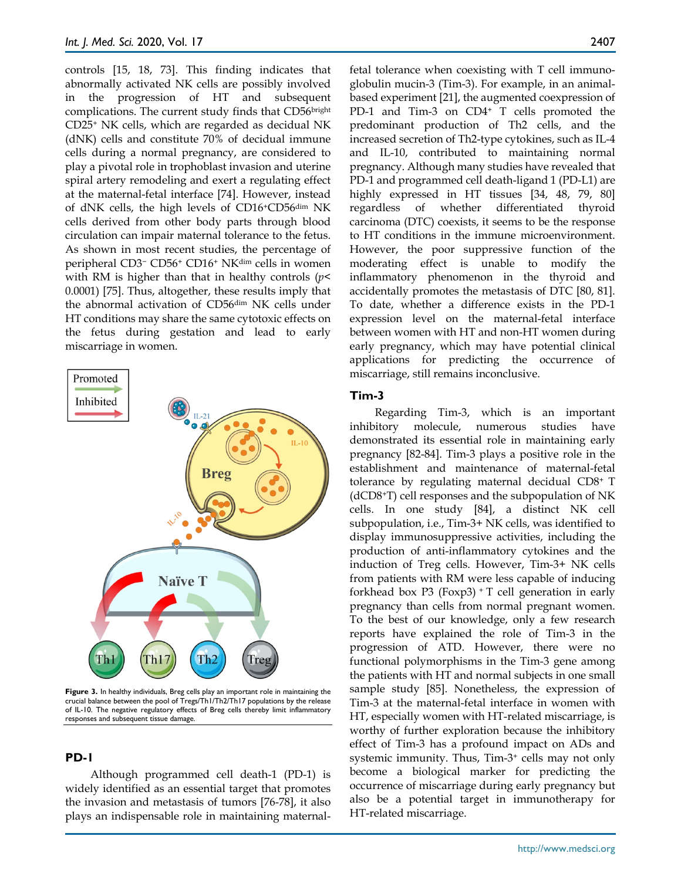controls [15, 18, 73]. This finding indicates that abnormally activated NK cells are possibly involved in the progression of HT and subsequent complications. The current study finds that CD56bright CD25+ NK cells, which are regarded as decidual NK (dNK) cells and constitute 70% of decidual immune cells during a normal pregnancy, are considered to play a pivotal role in trophoblast invasion and uterine spiral artery remodeling and exert a regulating effect at the maternal-fetal interface [74]. However, instead of dNK cells, the high levels of CD16+CD56dim NK cells derived from other body parts through blood circulation can impair maternal tolerance to the fetus. As shown in most recent studies, the percentage of peripheral CD3<sup>−</sup> CD56+ CD16+ NKdim cells in women with RM is higher than that in healthy controls (*p*< 0.0001) [75]. Thus, altogether, these results imply that the abnormal activation of CD56dim NK cells under HT conditions may share the same cytotoxic effects on the fetus during gestation and lead to early miscarriage in women.



**Figure 3.** In healthy individuals, Breg cells play an important role in maintaining the crucial balance between the pool of Tregs/Th1/Th2/Th17 populations by the release of IL-10. The negative regulatory effects of Breg cells thereby limit inflammatory responses and subsequent tissue damage.

## **PD-1**

Although programmed cell death-1 (PD-1) is widely identified as an essential target that promotes the invasion and metastasis of tumors [76-78], it also plays an indispensable role in maintaining maternalfetal tolerance when coexisting with T cell immunoglobulin mucin-3 (Tim-3). For example, in an animalbased experiment [21], the augmented coexpression of PD-1 and Tim-3 on CD4<sup>+</sup> T cells promoted the predominant production of Th2 cells, and the increased secretion of Th2-type cytokines, such as IL-4 and IL-10, contributed to maintaining normal pregnancy. Although many studies have revealed that PD-1 and programmed cell death-ligand 1 (PD-L1) are highly expressed in HT tissues [34, 48, 79, 80] regardless of whether differentiated thyroid carcinoma (DTC) coexists, it seems to be the response to HT conditions in the immune microenvironment. However, the poor suppressive function of the moderating effect is unable to modify the inflammatory phenomenon in the thyroid and accidentally promotes the metastasis of DTC [80, 81]. To date, whether a difference exists in the PD-1 expression level on the maternal-fetal interface between women with HT and non-HT women during early pregnancy, which may have potential clinical applications for predicting the occurrence of miscarriage, still remains inconclusive.

### **Tim-3**

Regarding Tim-3, which is an important inhibitory molecule, numerous studies have demonstrated its essential role in maintaining early pregnancy [82-84]. Tim-3 plays a positive role in the establishment and maintenance of maternal-fetal tolerance by regulating maternal decidual CD8+ T (dCD8+T) cell responses and the subpopulation of NK cells. In one study [84], a distinct NK cell subpopulation, i.e., Tim-3+ NK cells, was identified to display immunosuppressive activities, including the production of anti-inflammatory cytokines and the induction of Treg cells. However, Tim-3+ NK cells from patients with RM were less capable of inducing forkhead box  $P3$  (Foxp3)  $+T$  cell generation in early pregnancy than cells from normal pregnant women. To the best of our knowledge, only a few research reports have explained the role of Tim-3 in the progression of ATD. However, there were no functional polymorphisms in the Tim-3 gene among the patients with HT and normal subjects in one small sample study [85]. Nonetheless, the expression of Tim-3 at the maternal-fetal interface in women with HT, especially women with HT-related miscarriage, is worthy of further exploration because the inhibitory effect of Tim-3 has a profound impact on ADs and systemic immunity. Thus, Tim-3+ cells may not only become a biological marker for predicting the occurrence of miscarriage during early pregnancy but also be a potential target in immunotherapy for HT-related miscarriage.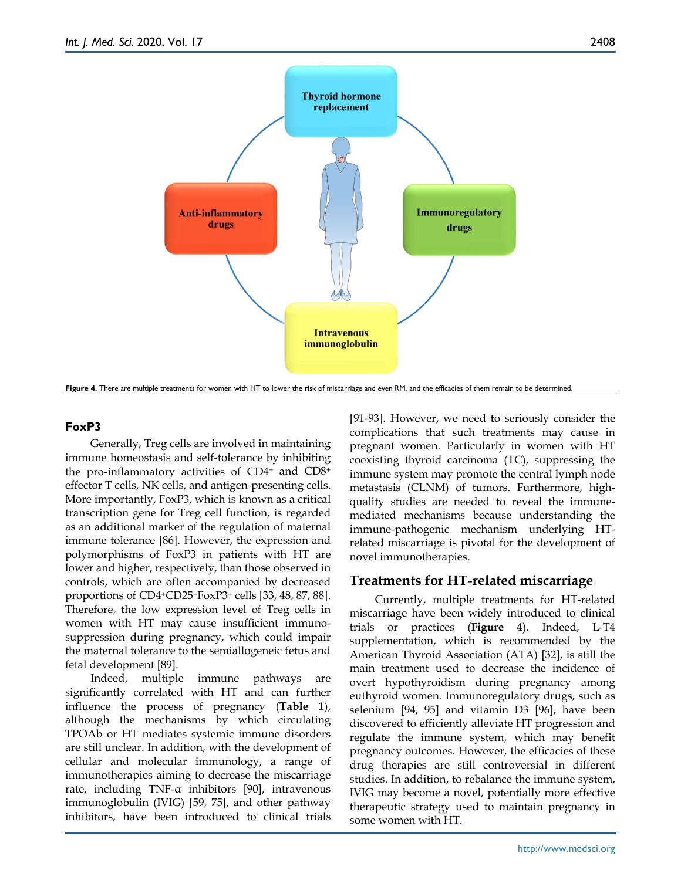

**Figure 4.** There are multiple treatments for women with HT to lower the risk of miscarriage and even RM, and the efficacies of them remain to be determined.

# **FoxP3**

Generally, Treg cells are involved in maintaining immune homeostasis and self-tolerance by inhibiting the pro-inflammatory activities of CD4+ and CD8+ effector T cells, NK cells, and antigen-presenting cells. More importantly, FoxP3, which is known as a critical transcription gene for Treg cell function, is regarded as an additional marker of the regulation of maternal immune tolerance [86]. However, the expression and polymorphisms of FoxP3 in patients with HT are lower and higher, respectively, than those observed in controls, which are often accompanied by decreased proportions of CD4+CD25+FoxP3+ cells [33, 48, 87, 88]. Therefore, the low expression level of Treg cells in women with HT may cause insufficient immunosuppression during pregnancy, which could impair the maternal tolerance to the semiallogeneic fetus and fetal development [89].

Indeed, multiple immune pathways are significantly correlated with HT and can further influence the process of pregnancy (**Table 1**), although the mechanisms by which circulating TPOAb or HT mediates systemic immune disorders are still unclear. In addition, with the development of cellular and molecular immunology, a range of immunotherapies aiming to decrease the miscarriage rate, including TNF-α inhibitors [90], intravenous immunoglobulin (IVIG) [59, 75], and other pathway inhibitors, have been introduced to clinical trials [91-93]. However, we need to seriously consider the complications that such treatments may cause in pregnant women. Particularly in women with HT coexisting thyroid carcinoma (TC), suppressing the immune system may promote the central lymph node metastasis (CLNM) of tumors. Furthermore, highquality studies are needed to reveal the immunemediated mechanisms because understanding the immune-pathogenic mechanism underlying HTrelated miscarriage is pivotal for the development of novel immunotherapies.

# **Treatments for HT-related miscarriage**

Currently, multiple treatments for HT-related miscarriage have been widely introduced to clinical trials or practices (**Figure 4**). Indeed, L-T4 supplementation, which is recommended by the American Thyroid Association (ATA) [32], is still the main treatment used to decrease the incidence of overt hypothyroidism during pregnancy among euthyroid women. Immunoregulatory drugs, such as selenium [94, 95] and vitamin D3 [96], have been discovered to efficiently alleviate HT progression and regulate the immune system, which may benefit pregnancy outcomes. However, the efficacies of these drug therapies are still controversial in different studies. In addition, to rebalance the immune system, IVIG may become a novel, potentially more effective therapeutic strategy used to maintain pregnancy in some women with HT.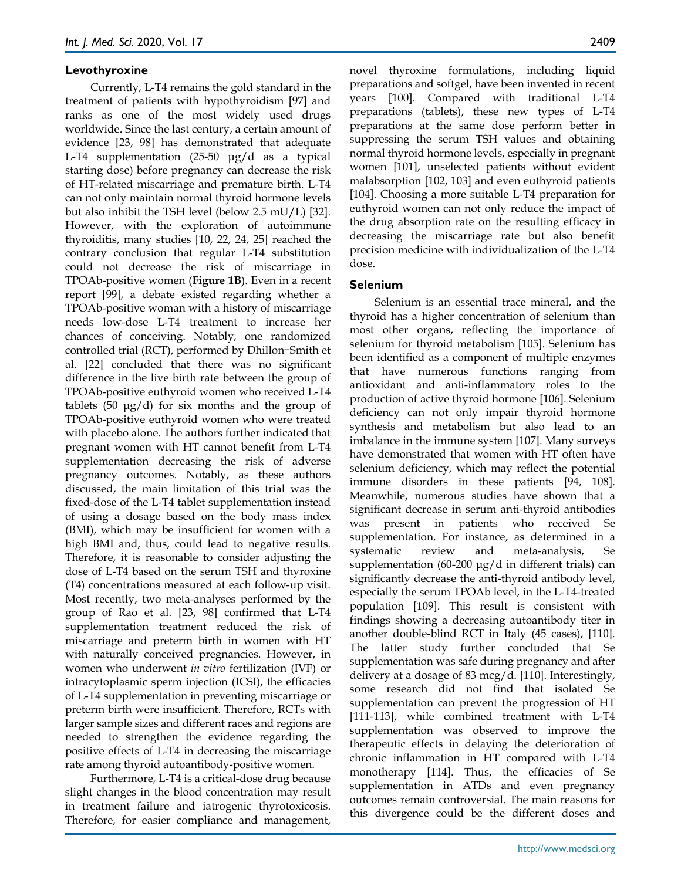## **Levothyroxine**

Currently, L-T4 remains the gold standard in the treatment of patients with hypothyroidism [97] and ranks as one of the most widely used drugs worldwide. Since the last century, a certain amount of evidence [23, 98] has demonstrated that adequate L-T4 supplementation (25-50 μg/d as a typical starting dose) before pregnancy can decrease the risk of HT-related miscarriage and premature birth. L-T4 can not only maintain normal thyroid hormone levels but also inhibit the TSH level (below 2.5 mU/L) [32]. However, with the exploration of autoimmune thyroiditis, many studies [10, 22, 24, 25] reached the contrary conclusion that regular L-T4 substitution could not decrease the risk of miscarriage in TPOAb-positive women (**Figure 1B**). Even in a recent report [99], a debate existed regarding whether a TPOAb-positive woman with a history of miscarriage needs low-dose L-T4 treatment to increase her chances of conceiving. Notably, one randomized controlled trial (RCT), performed by Dhillon-Smith et al. [22] concluded that there was no significant difference in the live birth rate between the group of TPOAb-positive euthyroid women who received L-T4 tablets (50  $\mu$ g/d) for six months and the group of TPOAb-positive euthyroid women who were treated with placebo alone. The authors further indicated that pregnant women with HT cannot benefit from L-T4 supplementation decreasing the risk of adverse pregnancy outcomes. Notably, as these authors discussed, the main limitation of this trial was the fixed-dose of the L-T4 tablet supplementation instead of using a dosage based on the body mass index (BMI), which may be insufficient for women with a high BMI and, thus, could lead to negative results. Therefore, it is reasonable to consider adjusting the dose of L-T4 based on the serum TSH and thyroxine (T4) concentrations measured at each follow-up visit. Most recently, two meta-analyses performed by the group of Rao et al. [23, 98] confirmed that L-T4 supplementation treatment reduced the risk of miscarriage and preterm birth in women with HT with naturally conceived pregnancies. However, in women who underwent *in vitro* fertilization (IVF) or intracytoplasmic sperm injection (ICSI), the efficacies of L-T4 supplementation in preventing miscarriage or preterm birth were insufficient. Therefore, RCTs with larger sample sizes and different races and regions are needed to strengthen the evidence regarding the positive effects of L-T4 in decreasing the miscarriage rate among thyroid autoantibody-positive women.

Furthermore, L-T4 is a critical-dose drug because slight changes in the blood concentration may result in treatment failure and iatrogenic thyrotoxicosis. Therefore, for easier compliance and management,

novel thyroxine formulations, including liquid preparations and softgel, have been invented in recent years [100]. Compared with traditional L-T4 preparations (tablets), these new types of L-T4 preparations at the same dose perform better in suppressing the serum TSH values and obtaining normal thyroid hormone levels, especially in pregnant women [101], unselected patients without evident malabsorption [102, 103] and even euthyroid patients [104]. Choosing a more suitable L-T4 preparation for euthyroid women can not only reduce the impact of the drug absorption rate on the resulting efficacy in decreasing the miscarriage rate but also benefit precision medicine with individualization of the L-T4 dose.

## **Selenium**

Selenium is an essential trace mineral, and the thyroid has a higher concentration of selenium than most other organs, reflecting the importance of selenium for thyroid metabolism [105]. Selenium has been identified as a component of multiple enzymes that have numerous functions ranging from antioxidant and anti-inflammatory roles to the production of active thyroid hormone [106]. Selenium deficiency can not only impair thyroid hormone synthesis and metabolism but also lead to an imbalance in the immune system [107]. Many surveys have demonstrated that women with HT often have selenium deficiency, which may reflect the potential immune disorders in these patients [94, 108]. Meanwhile, numerous studies have shown that a significant decrease in serum anti-thyroid antibodies was present in patients who received Se supplementation. For instance, as determined in a systematic review and meta-analysis, Se supplementation  $(60-200 \text{ µg}/d \text{ in different trials})$  can significantly decrease the anti-thyroid antibody level, especially the serum TPOAb level, in the L-T4-treated population [109]. This result is consistent with findings showing a decreasing autoantibody titer in another double-blind RCT in Italy (45 cases), [110]. The latter study further concluded that Se supplementation was safe during pregnancy and after delivery at a dosage of 83 mcg/d. [110]. Interestingly, some research did not find that isolated Se supplementation can prevent the progression of HT [111-113], while combined treatment with L-T4 supplementation was observed to improve the therapeutic effects in delaying the deterioration of chronic inflammation in HT compared with L-T4 monotherapy [114]. Thus, the efficacies of Se supplementation in ATDs and even pregnancy outcomes remain controversial. The main reasons for this divergence could be the different doses and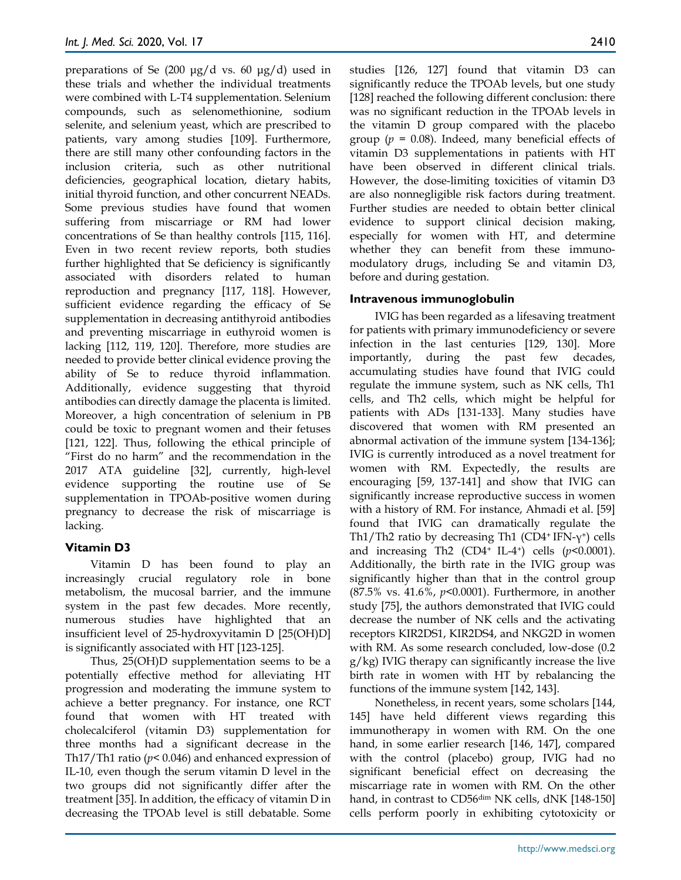preparations of Se  $(200 \text{ µg}/d \text{ vs. } 60 \text{ µg}/d)$  used in these trials and whether the individual treatments were combined with L-T4 supplementation. Selenium compounds, such as selenomethionine, sodium selenite, and selenium yeast, which are prescribed to patients, vary among studies [109]. Furthermore, there are still many other confounding factors in the inclusion criteria, such as other nutritional deficiencies, geographical location, dietary habits, initial thyroid function, and other concurrent NEADs. Some previous studies have found that women suffering from miscarriage or RM had lower concentrations of Se than healthy controls [115, 116]. Even in two recent review reports, both studies further highlighted that Se deficiency is significantly associated with disorders related to human reproduction and pregnancy [117, 118]. However, sufficient evidence regarding the efficacy of Se supplementation in decreasing antithyroid antibodies and preventing miscarriage in euthyroid women is lacking [112, 119, 120]. Therefore, more studies are needed to provide better clinical evidence proving the ability of Se to reduce thyroid inflammation. Additionally, evidence suggesting that thyroid antibodies can directly damage the placenta is limited. Moreover, a high concentration of selenium in PB could be toxic to pregnant women and their fetuses [121, 122]. Thus, following the ethical principle of "First do no harm" and the recommendation in the 2017 ATA guideline [32], currently, high-level evidence supporting the routine use of Se supplementation in TPOAb-positive women during pregnancy to decrease the risk of miscarriage is lacking.

# **Vitamin D3**

Vitamin D has been found to play an increasingly crucial regulatory role in bone metabolism, the mucosal barrier, and the immune system in the past few decades. More recently, numerous studies have highlighted that an insufficient level of 25-hydroxyvitamin D [25(OH)D] is significantly associated with HT [123-125].

Thus, 25(OH)D supplementation seems to be a potentially effective method for alleviating HT progression and moderating the immune system to achieve a better pregnancy. For instance, one RCT found that women with HT treated with cholecalciferol (vitamin D3) supplementation for three months had a significant decrease in the Th17/Th1 ratio (*p*< 0.046) and enhanced expression of IL-10, even though the serum vitamin D level in the two groups did not significantly differ after the treatment [35]. In addition, the efficacy of vitamin D in decreasing the TPOAb level is still debatable. Some

studies [126, 127] found that vitamin D3 can significantly reduce the TPOAb levels, but one study [128] reached the following different conclusion: there was no significant reduction in the TPOAb levels in the vitamin D group compared with the placebo group ( $p = 0.08$ ). Indeed, many beneficial effects of vitamin D3 supplementations in patients with HT have been observed in different clinical trials. However, the dose-limiting toxicities of vitamin D3 are also nonnegligible risk factors during treatment. Further studies are needed to obtain better clinical evidence to support clinical decision making, especially for women with HT, and determine whether they can benefit from these immunomodulatory drugs, including Se and vitamin D3, before and during gestation.

# **Intravenous immunoglobulin**

IVIG has been regarded as a lifesaving treatment for patients with primary immunodeficiency or severe infection in the last centuries [129, 130]. More importantly, during the past few decades, accumulating studies have found that IVIG could regulate the immune system, such as NK cells, Th1 cells, and Th2 cells, which might be helpful for patients with ADs [131-133]. Many studies have discovered that women with RM presented an abnormal activation of the immune system [134-136]; IVIG is currently introduced as a novel treatment for women with RM. Expectedly, the results are encouraging [59, 137-141] and show that IVIG can significantly increase reproductive success in women with a history of RM. For instance, Ahmadi et al. [59] found that IVIG can dramatically regulate the Th1/Th2 ratio by decreasing Th1 (CD4+ IFN- $\gamma$ +) cells and increasing Th2 (CD4<sup>+</sup> IL-4<sup>+</sup>) cells ( $p$ <0.0001). Additionally, the birth rate in the IVIG group was significantly higher than that in the control group (87.5% vs. 41.6%, *p*<0.0001). Furthermore, in another study [75], the authors demonstrated that IVIG could decrease the number of NK cells and the activating receptors KIR2DS1, KIR2DS4, and NKG2D in women with RM. As some research concluded, low-dose (0.2 g/kg) IVIG therapy can significantly increase the live birth rate in women with HT by rebalancing the functions of the immune system [142, 143].

Nonetheless, in recent years, some scholars [144, 145] have held different views regarding this immunotherapy in women with RM. On the one hand, in some earlier research [146, 147], compared with the control (placebo) group, IVIG had no significant beneficial effect on decreasing the miscarriage rate in women with RM. On the other hand, in contrast to CD56<sup>dim</sup> NK cells, dNK [148-150] cells perform poorly in exhibiting cytotoxicity or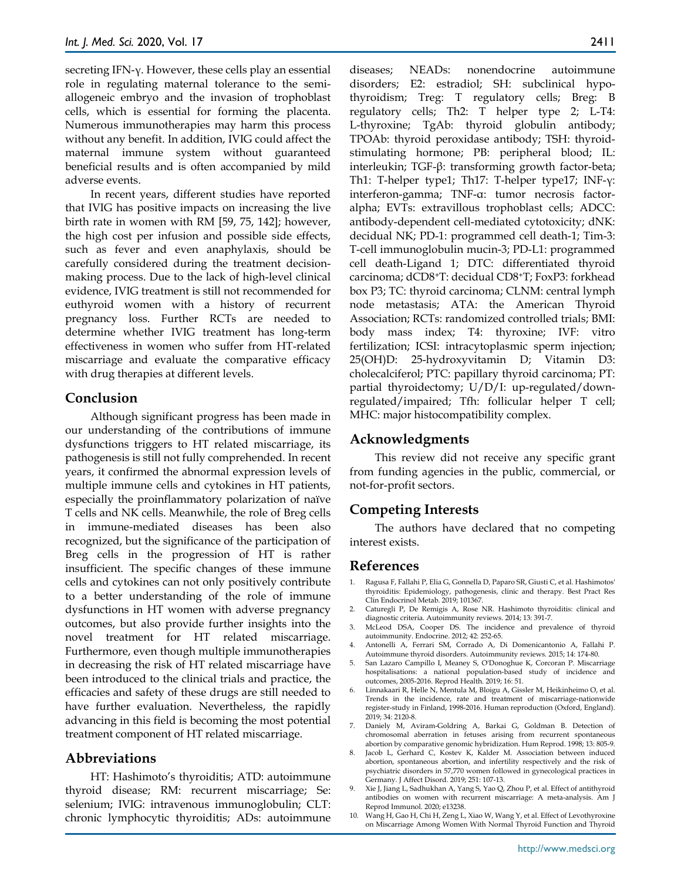secreting IFN-γ. However, these cells play an essential role in regulating maternal tolerance to the semiallogeneic embryo and the invasion of trophoblast cells, which is essential for forming the placenta. Numerous immunotherapies may harm this process without any benefit. In addition, IVIG could affect the maternal immune system without guaranteed beneficial results and is often accompanied by mild adverse events.

In recent years, different studies have reported that IVIG has positive impacts on increasing the live birth rate in women with RM [59, 75, 142]; however, the high cost per infusion and possible side effects, such as fever and even anaphylaxis, should be carefully considered during the treatment decisionmaking process. Due to the lack of high-level clinical evidence, IVIG treatment is still not recommended for euthyroid women with a history of recurrent pregnancy loss. Further RCTs are needed to determine whether IVIG treatment has long-term effectiveness in women who suffer from HT-related miscarriage and evaluate the comparative efficacy with drug therapies at different levels.

# **Conclusion**

Although significant progress has been made in our understanding of the contributions of immune dysfunctions triggers to HT related miscarriage, its pathogenesis is still not fully comprehended. In recent years, it confirmed the abnormal expression levels of multiple immune cells and cytokines in HT patients, especially the proinflammatory polarization of naïve T cells and NK cells. Meanwhile, the role of Breg cells in immune-mediated diseases has been also recognized, but the significance of the participation of Breg cells in the progression of HT is rather insufficient. The specific changes of these immune cells and cytokines can not only positively contribute to a better understanding of the role of immune dysfunctions in HT women with adverse pregnancy outcomes, but also provide further insights into the novel treatment for HT related miscarriage. Furthermore, even though multiple immunotherapies in decreasing the risk of HT related miscarriage have been introduced to the clinical trials and practice, the efficacies and safety of these drugs are still needed to have further evaluation. Nevertheless, the rapidly advancing in this field is becoming the most potential treatment component of HT related miscarriage.

# **Abbreviations**

HT: Hashimoto's thyroiditis; ATD: autoimmune thyroid disease; RM: recurrent miscarriage; Se: selenium; IVIG: intravenous immunoglobulin; CLT: chronic lymphocytic thyroiditis; ADs: autoimmune diseases; NEADs: nonendocrine autoimmune disorders; E2: estradiol; SH: subclinical hypothyroidism; Treg: T regulatory cells; Breg: B regulatory cells; Th2: T helper type 2; L-T4: L-thyroxine; TgAb: thyroid globulin antibody; TPOAb: thyroid peroxidase antibody; TSH: thyroidstimulating hormone; PB: peripheral blood; IL: interleukin; TGF-β: transforming growth factor-beta; Th1: T-helper type1; Th17: T-helper type17; INF-γ: interferon-gamma; TNF-α: tumor necrosis factoralpha; EVTs: extravillous trophoblast cells; ADCC: antibody-dependent cell-mediated cytotoxicity; dNK: decidual NK; PD-1: programmed cell death-1; Tim-3: T-cell immunoglobulin mucin-3; PD-L1: programmed cell death-Ligand 1; DTC: differentiated thyroid carcinoma; dCD8+T: decidual CD8+T; FoxP3: forkhead box P3; TC: thyroid carcinoma; CLNM: central lymph node metastasis; ATA: the American Thyroid Association; RCTs: randomized controlled trials; BMI: body mass index; T4: thyroxine; IVF: vitro fertilization; ICSI: intracytoplasmic sperm injection; 25(OH)D: 25-hydroxyvitamin D; Vitamin D3: cholecalciferol; PTC: papillary thyroid carcinoma; PT: partial thyroidectomy; U/D/I: up-regulated/downregulated/impaired; Tfh: follicular helper T cell; MHC: major histocompatibility complex.

## **Acknowledgments**

This review did not receive any specific grant from funding agencies in the public, commercial, or not-for-profit sectors.

# **Competing Interests**

The authors have declared that no competing interest exists.

## **References**

- 1. Ragusa F, Fallahi P, Elia G, Gonnella D, Paparo SR, Giusti C, et al. Hashimotos' thyroiditis: Epidemiology, pathogenesis, clinic and therapy. Best Pract Res Clin Endocrinol Metab. 2019; 101367.
- 2. Caturegli P, De Remigis A, Rose NR. Hashimoto thyroiditis: clinical and diagnostic criteria. Autoimmunity reviews. 2014; 13: 391-7.
- 3. McLeod DSA, Cooper DS. The incidence and prevalence of thyroid autoimmunity. Endocrine. 2012; 42: 252-65.
- 4. Antonelli A, Ferrari SM, Corrado A, Di Domenicantonio A, Fallahi P. Autoimmune thyroid disorders. Autoimmunity reviews. 2015; 14: 174-80.
- 5. San Lazaro Campillo I, Meaney S, O'Donoghue K, Corcoran P. Miscarriage hospitalisations: a national population-based study of incidence and outcomes, 2005-2016. Reprod Health. 2019; 16: 51.
- 6. Linnakaari R, Helle N, Mentula M, Bloigu A, Gissler M, Heikinheimo O, et al. Trends in the incidence, rate and treatment of miscarriage-nationwide register-study in Finland, 1998-2016. Human reproduction (Oxford, England). 2019; 34: 2120-8.
- 7. Daniely M, Aviram-Goldring A, Barkai G, Goldman B. Detection of chromosomal aberration in fetuses arising from recurrent spontaneous abortion by comparative genomic hybridization. Hum Reprod. 1998; 13: 805-9.
- 8. Jacob L, Gerhard C, Kostev K, Kalder M. Association between induced abortion, spontaneous abortion, and infertility respectively and the risk of psychiatric disorders in 57,770 women followed in gynecological practices in Germany. J Affect Disord. 2019; 251: 107-13.
- 9. Xie J, Jiang L, Sadhukhan A, Yang S, Yao Q, Zhou P, et al. Effect of antithyroid antibodies on women with recurrent miscarriage: A meta-analysis. Am J Reprod Immunol. 2020; e13238.
- 10. Wang H, Gao H, Chi H, Zeng L, Xiao W, Wang Y, et al. Effect of Levothyroxine on Miscarriage Among Women With Normal Thyroid Function and Thyroid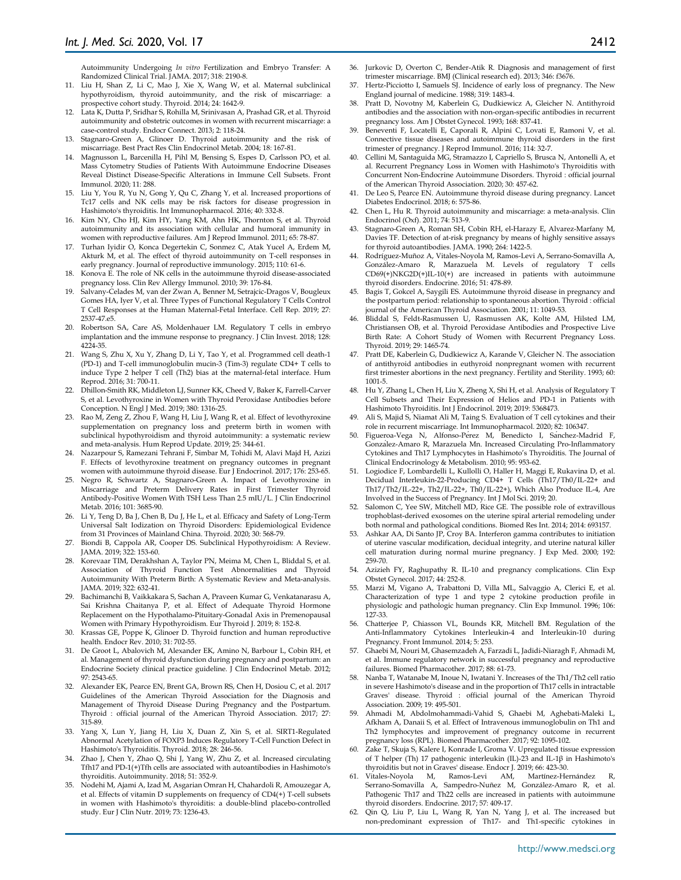Autoimmunity Undergoing *In vitro* Fertilization and Embryo Transfer: A Randomized Clinical Trial. JAMA. 2017; 318: 2190-8.

- 11. Liu H, Shan Z, Li C, Mao J, Xie X, Wang W, et al. Maternal subclinical hypothyroidism, thyroid autoimmunity, and the risk of miscarriage: a prospective cohort study. Thyroid. 2014; 24: 1642-9.
- 12. Lata K, Dutta P, Sridhar S, Rohilla M, Srinivasan A, Prashad GR, et al. Thyroid autoimmunity and obstetric outcomes in women with recurrent miscarriage: a case-control study. Endocr Connect. 2013; 2: 118-24.
- 13. Stagnaro-Green A, Glinoer D. Thyroid autoimmunity and the risk of miscarriage. Best Pract Res Clin Endocrinol Metab. 2004; 18: 167-81.
- 14. Magnusson L, Barcenilla H, Pihl M, Bensing S, Espes D, Carlsson PO, et al. Mass Cytometry Studies of Patients With Autoimmune Endocrine Diseases Reveal Distinct Disease-Specific Alterations in Immune Cell Subsets. Front Immunol. 2020; 11: 288.
- Liu Y, You R, Yu N, Gong Y, Qu C, Zhang Y, et al. Increased proportions of Tc17 cells and NK cells may be risk factors for disease progression in Hashimoto's thyroiditis. Int Immunopharmacol. 2016; 40: 332-8.
- 16. Kim NY, Cho HJ, Kim HY, Yang KM, Ahn HK, Thornton S, et al. Thyroid autoimmunity and its association with cellular and humoral immunity in women with reproductive failures. Am J Reprod Immunol. 2011; 65: 78-87.
- 17. Turhan Iyidir O, Konca Degertekin C, Sonmez C, Atak Yucel A, Erdem M, Akturk M, et al. The effect of thyroid autoimmunity on T-cell responses in early pregnancy. Journal of reproductive immunology. 2015; 110: 61-6.
- 18. Konova E. The role of NK cells in the autoimmune thyroid disease-associated pregnancy loss. Clin Rev Allergy Immunol. 2010; 39: 176-84.
- 19. Salvany-Celades M, van der Zwan A, Benner M, Setrajcic-Dragos V, Bougleux Gomes HA, Iyer V, et al. Three Types of Functional Regulatory T Cells Control T Cell Responses at the Human Maternal-Fetal Interface. Cell Rep. 2019; 27: 2537-47.e5.
- 20. Robertson SA, Care AS, Moldenhauer LM. Regulatory T cells in embryo implantation and the immune response to pregnancy. J Clin Invest. 2018; 128: 4224-35.
- 21. Wang S, Zhu X, Xu Y, Zhang D, Li Y, Tao Y, et al. Programmed cell death-1 (PD-1) and T-cell immunoglobulin mucin-3 (Tim-3) regulate CD4+ T cells to induce Type 2 helper T cell (Th2) bias at the maternal-fetal interface. Hum Reprod. 2016; 31: 700-11.
- 22. Dhillon-Smith RK, Middleton LJ, Sunner KK, Cheed V, Baker K, Farrell-Carver S, et al. Levothyroxine in Women with Thyroid Peroxidase Antibodies before Conception. N Engl J Med. 2019; 380: 1316-25.
- 23. Rao M, Zeng Z, Zhou F, Wang H, Liu J, Wang R, et al. Effect of levothyroxine supplementation on pregnancy loss and preterm birth in women with subclinical hypothyroidism and thyroid autoimmunity: a systematic review and meta-analysis. Hum Reprod Update. 2019; 25: 344-61.
- 24. Nazarpour S, Ramezani Tehrani F, Simbar M, Tohidi M, Alavi Majd H, Azizi F. Effects of levothyroxine treatment on pregnancy outcomes in pregnant women with autoimmune thyroid disease. Eur J Endocrinol. 2017; 176: 253-65.
- 25. Negro R, Schwartz A, Stagnaro-Green A. Impact of Levothyroxine in Miscarriage and Preterm Delivery Rates in First Trimester Thyroid Antibody-Positive Women With TSH Less Than 2.5 mIU/L. J Clin Endocrinol Metab. 2016; 101: 3685-90.
- 26. Li Y, Teng D, Ba J, Chen B, Du J, He L, et al. Efficacy and Safety of Long-Term Universal Salt Iodization on Thyroid Disorders: Epidemiological Evidence from 31 Provinces of Mainland China. Thyroid. 2020; 30: 568-79.
- 27. Biondi B, Cappola AR, Cooper DS. Subclinical Hypothyroidism: A Review. JAMA. 2019; 322: 153-60.
- 28. Korevaar TIM, Derakhshan A, Taylor PN, Meima M, Chen L, Bliddal S, et al. Association of Thyroid Function Test Abnormalities and Thyroid Autoimmunity With Preterm Birth: A Systematic Review and Meta-analysis. JAMA. 2019; 322: 632-41.
- 29. Bachimanchi B, Vaikkakara S, Sachan A, Praveen Kumar G, Venkatanarasu A, Sai Krishna Chaitanya P, et al. Effect of Adequate Thyroid Hormone Replacement on the Hypothalamo-Pituitary-Gonadal Axis in Premenopausal Women with Primary Hypothyroidism. Eur Thyroid J. 2019; 8: 152-8.
- 30. Krassas GE, Poppe K, Glinoer D. Thyroid function and human reproductive health. Endocr Rev. 2010; 31: 702-55.
- 31. De Groot L, Abalovich M, Alexander EK, Amino N, Barbour L, Cobin RH, et al. Management of thyroid dysfunction during pregnancy and postpartum: an Endocrine Society clinical practice guideline. J Clin Endocrinol Metab. 2012; 97: 2543-65.
- 32. Alexander EK, Pearce EN, Brent GA, Brown RS, Chen H, Dosiou C, et al. 2017 Guidelines of the American Thyroid Association for the Diagnosis and Management of Thyroid Disease During Pregnancy and the Postpartum. Thyroid : official journal of the American Thyroid Association. 2017; 27: 315-89.
- 33. Yang X, Lun Y, Jiang H, Liu X, Duan Z, Xin S, et al. SIRT1-Regulated Abnormal Acetylation of FOXP3 Induces Regulatory T-Cell Function Defect in Hashimoto's Thyroiditis. Thyroid. 2018; 28: 246-56.
- Zhao J, Chen Y, Zhao Q, Shi J, Yang W, Zhu Z, et al. Increased circulating Tfh17 and PD-1(+)Tfh cells are associated with autoantibodies in Hashimoto's thyroiditis. Autoimmunity. 2018; 51: 352-9.
- 35. Nodehi M, Ajami A, Izad M, Asgarian Omran H, Chahardoli R, Amouzegar A, et al. Effects of vitamin D supplements on frequency of CD4(+) T-cell subsets in women with Hashimoto's thyroiditis: a double-blind placebo-controlled study. Eur J Clin Nutr. 2019; 73: 1236-43.
- 36. Jurkovic D, Overton C, Bender-Atik R. Diagnosis and management of first trimester miscarriage. BMJ (Clinical research ed). 2013; 346: f3676.
- 37. Hertz-Picciotto I, Samuels SJ. Incidence of early loss of pregnancy. The New England journal of medicine. 1988; 319: 1483-4.
- 38. Pratt D, Novotny M, Kaberlein G, Dudkiewicz A, Gleicher N. Antithyroid antibodies and the association with non-organ-specific antibodies in recurrent pregnancy loss. Am J Obstet Gynecol. 1993; 168: 837-41.
- 39. Beneventi F, Locatelli E, Caporali R, Alpini C, Lovati E, Ramoni V, et al. Connective tissue diseases and autoimmune thyroid disorders in the first trimester of pregnancy. J Reprod Immunol. 2016; 114: 32-7.
- 40. Cellini M, Santaguida MG, Stramazzo I, Capriello S, Brusca N, Antonelli A, et al. Recurrent Pregnancy Loss in Women with Hashimoto's Thyroiditis with Concurrent Non-Endocrine Autoimmune Disorders. Thyroid : official journal of the American Thyroid Association. 2020; 30: 457-62.
- 41. De Leo S, Pearce EN. Autoimmune thyroid disease during pregnancy. Lancet Diabetes Endocrinol. 2018; 6: 575-86.
- 42. Chen L, Hu R. Thyroid autoimmunity and miscarriage: a meta-analysis. Clin Endocrinol (Oxf). 2011; 74: 513-9.
- 43. Stagnaro-Green A, Roman SH, Cobin RH, el-Harazy E, Alvarez-Marfany M, Davies TF. Detection of at-risk pregnancy by means of highly sensitive assays for thyroid autoantibodies. JAMA. 1990; 264: 1422-5.
- 44. Rodríguez-Muñoz A, Vitales-Noyola M, Ramos-Levi A, Serrano-Somavilla A, González-Amaro R, Marazuela M. Levels of regulatory T cells CD69(+)NKG2D(+)IL-10(+) are increased in patients with autoimmune thyroid disorders. Endocrine. 2016; 51: 478-89.
- 45. Bagis T, Gokcel A, Saygili ES. Autoimmune thyroid disease in pregnancy and the postpartum period: relationship to spontaneous abortion. Thyroid : official journal of the American Thyroid Association. 2001; 11: 1049-53.
- 46. Bliddal S, Feldt-Rasmussen U, Rasmussen AK, Kolte AM, Hilsted LM, Christiansen OB, et al. Thyroid Peroxidase Antibodies and Prospective Live Birth Rate: A Cohort Study of Women with Recurrent Pregnancy Loss. Thyroid. 2019; 29: 1465-74.
- 47. Pratt DE, Kaberlein G, Dudkiewicz A, Karande V, Gleicher N. The association of antithyroid antibodies in euthyroid nonpregnant women with recurrent first trimester abortions in the next pregnancy. Fertility and Sterility. 1993; 60: 1001-5.
- 48. Hu Y, Zhang L, Chen H, Liu X, Zheng X, Shi H, et al. Analysis of Regulatory T Cell Subsets and Their Expression of Helios and PD-1 in Patients with Hashimoto Thyroiditis. Int J Endocrinol. 2019; 2019: 5368473.
- 49. Ali S, Majid S, Niamat Ali M, Taing S. Evaluation of T cell cytokines and their role in recurrent miscarriage. Int Immunopharmacol. 2020; 82: 106347.
- 50. Figueroa-Vega N, Alfonso-Pérez M, Benedicto I, Sánchez-Madrid F, González-Amaro R, Marazuela Mn. Increased Circulating Pro-Inflammatory Cytokines and Th17 Lymphocytes in Hashimoto's Thyroiditis. The Journal of Clinical Endocrinology & Metabolism. 2010; 95: 953-62.
- 51. Logiodice F, Lombardelli L, Kullolli O, Haller H, Maggi E, Rukavina D, et al. Decidual Interleukin-22-Producing CD4+ T Cells (Th17/Th0/IL-22+ and Th17/Th2/IL-22+, Th2/IL-22+, Th0/IL-22+), Which Also Produce IL-4, Are Involved in the Success of Pregnancy. Int J Mol Sci. 2019; 20.
- Salomon C, Yee SW, Mitchell MD, Rice GE. The possible role of extravillous trophoblast-derived exosomes on the uterine spiral arterial remodeling under both normal and pathological conditions. Biomed Res Int. 2014; 2014: 693157.
- 53. Ashkar AA, Di Santo JP, Croy BA. Interferon gamma contributes to initiation of uterine vascular modification, decidual integrity, and uterine natural killer cell maturation during normal murine pregnancy. J Exp Med. 2000; 192: 259-70.
- 54. Azizieh FY, Raghupathy R. IL-10 and pregnancy complications. Clin Exp Obstet Gynecol. 2017; 44: 252-8.
- 55. Marzi M, Vigano A, Trabattoni D, Villa ML, Salvaggio A, Clerici E, et al. Characterization of type 1 and type 2 cytokine production profile in physiologic and pathologic human pregnancy. Clin Exp Immunol. 1996; 106: 127-33.
- 56. Chatterjee P, Chiasson VL, Bounds KR, Mitchell BM. Regulation of the Anti-Inflammatory Cytokines Interleukin-4 and Interleukin-10 during Pregnancy. Front Immunol. 2014; 5: 253.
- 57. Ghaebi M, Nouri M, Ghasemzadeh A, Farzadi L, Jadidi-Niaragh F, Ahmadi M, et al. Immune regulatory network in successful pregnancy and reproductive failures. Biomed Pharmacother. 2017; 88: 61-73.
- 58. Nanba T, Watanabe M, Inoue N, Iwatani Y. Increases of the Th1/Th2 cell ratio in severe Hashimoto's disease and in the proportion of Th17 cells in intractable Graves' disease. Thyroid : official journal of the American Thyroid Association. 2009; 19: 495-501.
- 59. Ahmadi M, Abdolmohammadi-Vahid S, Ghaebi M, Aghebati-Maleki L, Afkham A, Danaii S, et al. Effect of Intravenous immunoglobulin on Th1 and Th2 lymphocytes and improvement of pregnancy outcome in recurrent pregnancy loss (RPL). Biomed Pharmacother. 2017; 92: 1095-102.
- Zake T, Skuja S, Kalere I, Konrade I, Groma V. Upregulated tissue expression of T helper (Th) 17 pathogenic interleukin (IL)-23 and IL-1β in Hashimoto's thyroiditis but not in Graves' disease. Endocr J. 2019; 66: 423-30.
- 61. Vitales-Noyola M, Ramos-Levi AM, Martínez-Hernández Serrano-Somavilla A, Sampedro-Nuñez M, González-Amaro R, et al. Pathogenic Th17 and Th22 cells are increased in patients with autoimmune thyroid disorders. Endocrine. 2017; 57: 409-17.
- 62. Qin Q, Liu P, Liu L, Wang R, Yan N, Yang J, et al. The increased but non-predominant expression of Th17- and Th1-specific cytokines in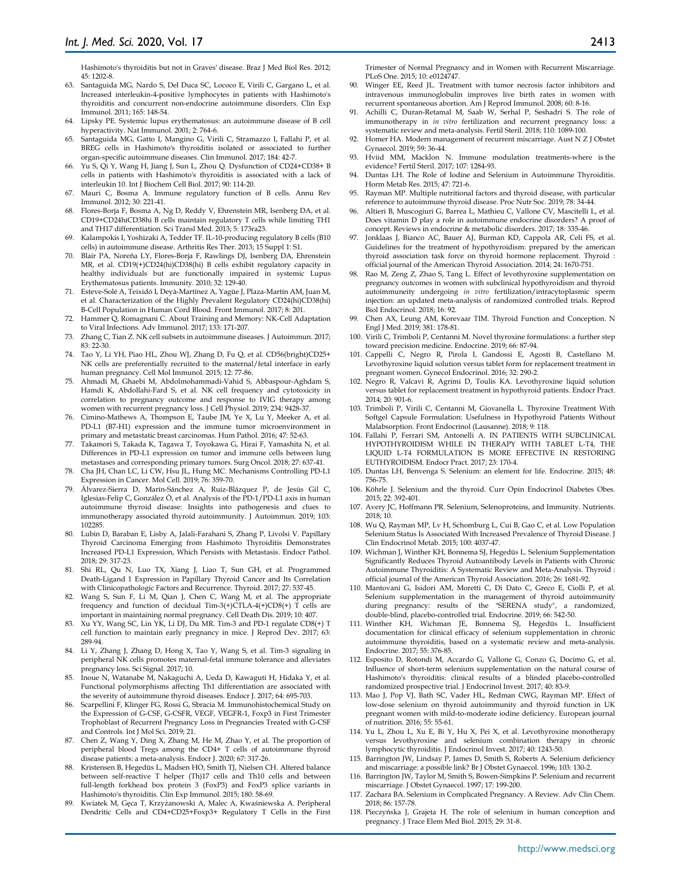Hashimoto's thyroiditis but not in Graves' disease. Braz J Med Biol Res. 2012; 45: 1202-8.

- 63. Santaguida MG, Nardo S, Del Duca SC, Lococo E, Virili C, Gargano L, et al. Increased interleukin-4-positive lymphocytes in patients with Hashimoto's thyroiditis and concurrent non-endocrine autoimmune disorders. Clin Exp Immunol. 2011; 165: 148-54.
- 64. Lipsky PE. Systemic lupus erythematosus: an autoimmune disease of B cell hyperactivity. Nat Immunol. 2001; 2: 764-6.
- 65. Santaguida MG, Gatto I, Mangino G, Virili C, Stramazzo I, Fallahi P, et al. BREG cells in Hashimoto's thyroiditis isolated or associated to further organ-specific autoimmune diseases. Clin Immunol. 2017; 184: 42-7.
- Yu S, Qi Y, Wang H, Jiang J, Sun L, Zhou Q. Dysfunction of CD24+CD38+ B cells in patients with Hashimoto's thyroiditis is associated with a lack of interleukin 10. Int J Biochem Cell Biol. 2017; 90: 114-20.
- Mauri C, Bosma A. Immune regulatory function of B cells. Annu Rev Immunol. 2012; 30: 221-41.
- 68. Flores-Borja F, Bosma A, Ng D, Reddy V, Ehrenstein MR, Isenberg DA, et al. CD19+CD24hiCD38hi B cells maintain regulatory T cells while limiting TH1 and TH17 differentiation. Sci Transl Med. 2013; 5: 173ra23.
- 69. Kalampokis I, Yoshizaki A, Tedder TF. IL-10-producing regulatory B cells (B10 cells) in autoimmune disease. Arthritis Res Ther. 2013; 15 Suppl 1: S1.
- 70. Blair PA, Noreña LY, Flores-Borja F, Rawlings DJ, Isenberg DA, Ehrenstein MR, et al. CD19(+)CD24(hi)CD38(hi) B cells exhibit regulatory capacity in healthy individuals but are functionally impaired in systemic Lupus Erythematosus patients. Immunity. 2010; 32: 129-40.
- 71. Esteve-Solé A, Teixidó I, Deyà-Martínez A, Yagüe J, Plaza-Martín AM, Juan M, et al. Characterization of the Highly Prevalent Regulatory CD24(hi)CD38(hi) B-Cell Population in Human Cord Blood. Front Immunol. 2017; 8: 201.
- 72. Hammer Q, Romagnani C. About Training and Memory: NK-Cell Adaptation to Viral Infections. Adv Immunol. 2017; 133: 171-207.
- 73. Zhang C, Tian Z. NK cell subsets in autoimmune diseases. J Autoimmun. 2017; 83: 22-30.
- 74. Tao Y, Li YH, Piao HL, Zhou WJ, Zhang D, Fu Q, et al. CD56(bright)CD25+ NK cells are preferentially recruited to the maternal/fetal interface in early human pregnancy. Cell Mol Immunol. 2015; 12: 77-86.
- 75. Ahmadi M, Ghaebi M, Abdolmohammadi-Vahid S, Abbaspour-Aghdam S, Hamdi K, Abdollahi-Fard S, et al. NK cell frequency and cytotoxicity in correlation to pregnancy outcome and response to IVIG therapy among women with recurrent pregnancy loss. J Cell Physiol. 2019; 234: 9428-37.
- 76. Cimino-Mathews A, Thompson E, Taube JM, Ye X, Lu Y, Meeker A, et al. PD-L1 (B7-H1) expression and the immune tumor microenvironment in primary and metastatic breast carcinomas. Hum Pathol. 2016; 47: 52-63.
- 77. Takamori S, Takada K, Tagawa T, Toyokawa G, Hirai F, Yamashita N, et al. Differences in PD-L1 expression on tumor and immune cells between lung metastases and corresponding primary tumors. Surg Oncol. 2018; 27: 637-41.
- 78. Cha JH, Chan LC, Li CW, Hsu JL, Hung MC. Mechanisms Controlling PD-L1 Expression in Cancer. Mol Cell. 2019; 76: 359-70.
- 79. Álvarez-Sierra D, Marín-Sánchez A, Ruiz-Blázquez P, de Jesús Gil C, Iglesias-Felip C, González Ó, et al. Analysis of the PD-1/PD-L1 axis in human autoimmune thyroid disease: Insights into pathogenesis and clues to immunotherapy associated thyroid autoimmunity. J Autoimmun. 2019; 103: 102285.
- Lubin D, Baraban E, Lisby A, Jalali-Farahani S, Zhang P, Livolsi V. Papillary Thyroid Carcinoma Emerging from Hashimoto Thyroiditis Demonstrates Increased PD-L1 Expression, Which Persists with Metastasis. Endocr Pathol. 2018; 29: 317-23.
- 81. Shi RL, Qu N, Luo TX, Xiang J, Liao T, Sun GH, et al. Programmed Death-Ligand 1 Expression in Papillary Thyroid Cancer and Its Correlation with Clinicopathologic Factors and Recurrence. Thyroid. 2017; 27: 537-45.
- 82. Wang S, Sun F, Li M, Qian J, Chen C, Wang M, et al. The appropriate frequency and function of decidual Tim-3(+)CTLA-4(+)CD8(+) T cells are important in maintaining normal pregnancy. Cell Death Dis. 2019; 10: 407.
- 83. Xu YY, Wang SC, Lin YK, Li DJ, Du MR. Tim-3 and PD-1 regulate CD8(+) T cell function to maintain early pregnancy in mice. J Reprod Dev. 2017; 63: 289-94.
- 84. Li Y, Zhang J, Zhang D, Hong X, Tao Y, Wang S, et al. Tim-3 signaling in peripheral NK cells promotes maternal-fetal immune tolerance and alleviates pregnancy loss. Sci Signal. 2017; 10.
- 85. Inoue N, Watanabe M, Nakaguchi A, Ueda D, Kawaguti H, Hidaka Y, et al. Functional polymorphisms affecting Th1 differentiation are associated with the severity of autoimmune thyroid diseases. Endocr J. 2017; 64: 695-703.
- 86. Scarpellini F, Klinger FG, Rossi G, Sbracia M. Immunohistochemical Study on the Expression of G-CSF, G-CSFR, VEGF, VEGFR-1, Foxp3 in First Trimester Trophoblast of Recurrent Pregnancy Loss in Pregnancies Treated with G-CSF and Controls. Int J Mol Sci. 2019; 21.
- 87. Chen Z, Wang Y, Ding X, Zhang M, He M, Zhao Y, et al. The proportion of peripheral blood Tregs among the CD4+ T cells of autoimmune thyroid disease patients: a meta-analysis. Endocr J. 2020; 67: 317-26.
- 88. Kristensen B, Hegedüs L, Madsen HO, Smith TJ, Nielsen CH. Altered balance between self-reactive T helper (Th)17 cells and Th10 cells and between full-length forkhead box protein 3 (FoxP3) and FoxP3 splice variants in Hashimoto's thyroiditis. Clin Exp Immunol. 2015; 180: 58-69.
- Kwiatek M, Gęca T, Krzyżanowski A, Malec A, Kwaśniewska A. Peripheral Dendritic Cells and CD4+CD25+Foxp3+ Regulatory T Cells in the First

Trimester of Normal Pregnancy and in Women with Recurrent Miscarriage. PLoS One. 2015; 10: e0124747.

- 90. Winger EE, Reed JL. Treatment with tumor necrosis factor inhibitors and intravenous immunoglobulin improves live birth rates in women with recurrent spontaneous abortion. Am J Reprod Immunol. 2008; 60: 8-16.
- 91. Achilli C, Duran-Retamal M, Saab W, Serhal P, Seshadri S. The role of immunotherapy in *in vitro* fertilization and recurrent pregnancy loss: a systematic review and meta-analysis. Fertil Steril. 2018; 110: 1089-100.
- 92. Homer HA. Modern management of recurrent miscarriage. Aust N Z J Obstet Gynaecol. 2019; 59: 36-44.
- 93. Hviid MM, Macklon N. Immune modulation treatments-where is the evidence? Fertil Steril. 2017; 107: 1284-93.
- 94. Duntas LH. The Role of Iodine and Selenium in Autoimmune Thyroiditis. Horm Metab Res. 2015; 47: 721-6.
- 95. Rayman MP. Multiple nutritional factors and thyroid disease, with particular reference to autoimmune thyroid disease. Proc Nutr Soc. 2019; 78: 34-44.
- 96. Altieri B, Muscogiuri G, Barrea L, Mathieu C, Vallone CV, Mascitelli L, et al. Does vitamin D play a role in autoimmune endocrine disorders? A proof of concept. Reviews in endocrine & metabolic disorders. 2017; 18: 335-46.
- 97. Jonklaas J, Bianco AC, Bauer AJ, Burman KD, Cappola AR, Celi FS, et al. Guidelines for the treatment of hypothyroidism: prepared by the american thyroid association task force on thyroid hormone replacement. Thyroid : official journal of the American Thyroid Association. 2014; 24: 1670-751.
- 98. Rao M, Zeng Z, Zhao S, Tang L. Effect of levothyroxine supplementation on pregnancy outcomes in women with subclinical hypothyroidism and thyroid autoimmuneity undergoing *in vitro* fertilization/intracytoplasmic sperm injection: an updated meta-analysis of randomized controlled trials. Reprod Biol Endocrinol. 2018; 16: 92.
- 99. Chen AX, Leung AM, Korevaar TIM. Thyroid Function and Conception. N Engl J Med. 2019; 381: 178-81.
- 100. Virili C, Trimboli P, Centanni M. Novel thyroxine formulations: a further step toward precision medicine. Endocrine. 2019; 66: 87-94.
- 101. Cappelli C, Negro R, Pirola I, Gandossi E, Agosti B, Castellano M. Levothyroxine liquid solution versus tablet form for replacement treatment in pregnant women. Gynecol Endocrinol. 2016; 32: 290-2.
- 102. Negro R, Valcavi R, Agrimi D, Toulis KA. Levothyroxine liquid solution versus tablet for replacement treatment in hypothyroid patients. Endocr Pract. 2014; 20: 901-6.
- 103. Trimboli P, Virili C, Centanni M, Giovanella L. Thyroxine Treatment With Softgel Capsule Formulation: Usefulness in Hypothyroid Patients Without Malabsorption. Front Endocrinol (Lausanne). 2018; 9: 118.
- 104. Fallahi P, Ferrari SM, Antonelli A. IN PATIENTS WITH SUBCLINICAL HYPOTHYROIDISM WHILE IN THERAPY WITH TABLET L-T4, THE LIQUID L-T4 FORMULATION IS MORE EFFECTIVE IN RESTORING EUTHYROIDISM. Endocr Pract. 2017; 23: 170-4.
- 105. Duntas LH, Benvenga S. Selenium: an element for life. Endocrine. 2015; 48: 756-75.
- 106. Köhrle J. Selenium and the thyroid. Curr Opin Endocrinol Diabetes Obes. 2015; 22: 392-401.
- 107. Avery JC, Hoffmann PR. Selenium, Selenoproteins, and Immunity. Nutrients. 2018; 10.
- 108. Wu Q, Rayman MP, Lv H, Schomburg L, Cui B, Gao C, et al. Low Population Selenium Status Is Associated With Increased Prevalence of Thyroid Disease. J Clin Endocrinol Metab. 2015; 100: 4037-47.
- 109. Wichman J, Winther KH, Bonnema SJ, Hegedüs L. Selenium Supplementation Significantly Reduces Thyroid Autoantibody Levels in Patients with Chronic Autoimmune Thyroiditis: A Systematic Review and Meta-Analysis. Thyroid : official journal of the American Thyroid Association. 2016; 26: 1681-92.
- 110. Mantovani G, Isidori AM, Moretti C, Di Dato C, Greco E, Ciolli P, et al. Selenium supplementation in the management of thyroid autoimmunity during pregnancy: results of the "SERENA study", a randomized, double-blind, placebo-controlled trial. Endocrine. 2019; 66: 542-50.
- 111. Winther KH, Wichman JE, Bonnema SJ, Hegedüs L. Insufficient documentation for clinical efficacy of selenium supplementation in chronic autoimmune thyroiditis, based on a systematic review and meta-analysis. Endocrine. 2017; 55: 376-85.
- 112. Esposito D, Rotondi M, Accardo G, Vallone G, Conzo G, Docimo G, et al. Influence of short-term selenium supplementation on the natural course of Hashimoto's thyroiditis: clinical results of a blinded placebo-controlled randomized prospective trial. J Endocrinol Invest. 2017; 40: 83-9.
- 113. Mao J, Pop VJ, Bath SC, Vader HL, Redman CWG, Rayman MP. Effect of low-dose selenium on thyroid autoimmunity and thyroid function in UK pregnant women with mild-to-moderate iodine deficiency. European journal of nutrition. 2016; 55: 55-61.
- 114. Yu L, Zhou L, Xu E, Bi Y, Hu X, Pei X, et al. Levothyroxine monotherapy versus levothyroxine and selenium combination therapy in chronic lymphocytic thyroiditis. J Endocrinol Invest. 2017; 40: 1243-50.
- 115. Barrington JW, Lindsay P, James D, Smith S, Roberts A. Selenium deficiency and miscarriage: a possible link? Br J Obstet Gynaecol. 1996; 103: 130-2.
- 116. Barrington JW, Taylor M, Smith S, Bowen-Simpkins P. Selenium and recurrent miscarriage. J Obstet Gynaecol. 1997; 17: 199-200.
- 117. Zachara BA. Selenium in Complicated Pregnancy. A Review. Adv Clin Chem. 2018; 86: 157-78.
- 118. Pieczyńska J, Grajeta H. The role of selenium in human conception and pregnancy. J Trace Elem Med Biol. 2015; 29: 31-8.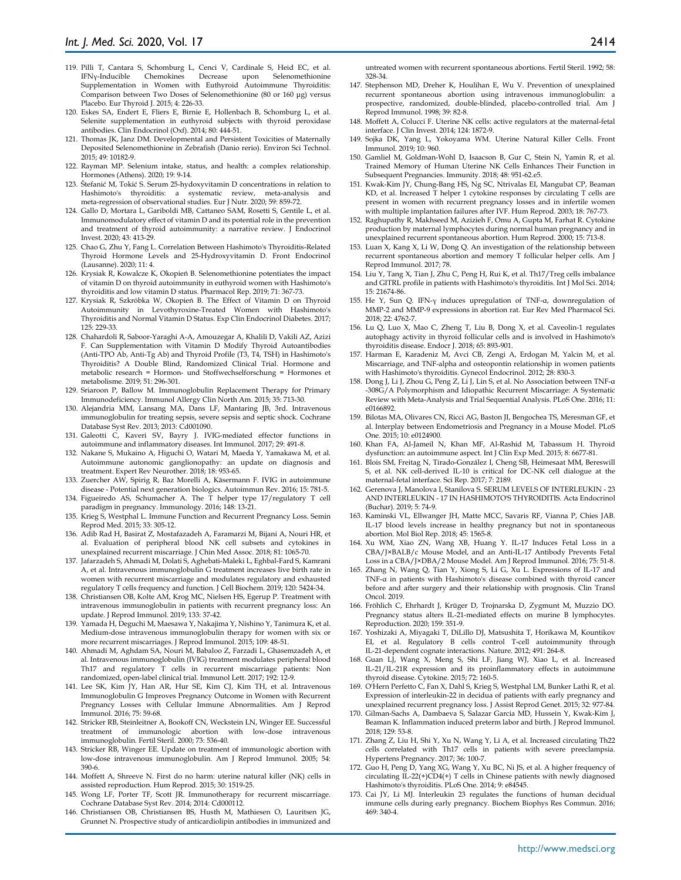- 119. Pilli T, Cantara S, Schomburg L, Cenci V, Cardinale S, Heid EC, et al. IFNγ-Inducible Chemokines Decrease upon Selenomethionine Supplementation in Women with Euthyroid Autoimmune Thyroiditis: Comparison between Two Doses of Selenomethionine (80 or 160 μg) versus Placebo. Eur Thyroid J. 2015; 4: 226-33.
- 120. Eskes SA, Endert E, Fliers E, Birnie E, Hollenbach B, Schomburg L, et al. Selenite supplementation in euthyroid subjects with thyroid peroxidase antibodies. Clin Endocrinol (Oxf). 2014; 80: 444-51.
- 121. Thomas JK, Janz DM. Developmental and Persistent Toxicities of Maternally Deposited Selenomethionine in Zebrafish (Danio rerio). Environ Sci Technol. 2015; 49: 10182-9.
- 122. Rayman MP. Selenium intake, status, and health: a complex relationship. Hormones (Athens). 2020; 19: 9-14.
- 123. Štefanić M, Tokić S. Serum 25-hydoxyvitamin D concentrations in relation to Hashimoto's thyroiditis: a systematic review, meta-analysis and meta-regression of observational studies. Eur J Nutr. 2020; 59: 859-72.
- 124. Gallo D, Mortara L, Gariboldi MB, Cattaneo SAM, Rosetti S, Gentile L, et al. Immunomodulatory effect of vitamin D and its potential role in the prevention and treatment of thyroid autoimmunity: a narrative review. J Endocrinol Invest. 2020; 43: 413-29.
- 125. Chao G, Zhu Y, Fang L. Correlation Between Hashimoto's Thyroiditis-Related Thyroid Hormone Levels and 25-Hydroxyvitamin D. Front Endocrinol (Lausanne). 2020; 11: 4.
- 126. Krysiak R, Kowalcze K, Okopień B. Selenomethionine potentiates the impact of vitamin D on thyroid autoimmunity in euthyroid women with Hashimoto's thyroiditis and low vitamin D status. Pharmacol Rep. 2019; 71: 367-73.
- 127. Krysiak R, Szkróbka W, Okopień B. The Effect of Vitamin D on Thyroid Autoimmunity in Levothyroxine-Treated Women with Hashimoto's Thyroiditis and Normal Vitamin D Status. Exp Clin Endocrinol Diabetes. 2017; 125: 229-33.
- 128. Chahardoli R, Saboor-Yaraghi A-A, Amouzegar A, Khalili D, Vakili AZ, Azizi F. Can Supplementation with Vitamin D Modify Thyroid Autoantibodies (Anti-TPO Ab, Anti-Tg Ab) and Thyroid Profile (T3, T4, TSH) in Hashimoto's Thyroiditis? A Double Blind, Randomized Clinical Trial. Hormone and metabolic research = Hormon- und Stoffwechselforschung = Hormones et metabolisme. 2019; 51: 296-301.
- 129. Sriaroon P, Ballow M. Immunoglobulin Replacement Therapy for Primary Immunodeficiency. Immunol Allergy Clin North Am. 2015; 35: 713-30.
- 130. Alejandria MM, Lansang MA, Dans LF, Mantaring JB, 3rd. Intravenous immunoglobulin for treating sepsis, severe sepsis and septic shock. Cochrane Database Syst Rev. 2013; 2013: Cd001090.
- 131. Galeotti C, Kaveri SV, Bayry J. IVIG-mediated effector functions in autoimmune and inflammatory diseases. Int Immunol. 2017; 29: 491-8.
- 132. Nakane S, Mukaino A, Higuchi O, Watari M, Maeda Y, Yamakawa M, et al. Autoimmune autonomic ganglionopathy: an update on diagnosis and treatment. Expert Rev Neurother. 2018; 18: 953-65.
- 133. Zuercher AW, Spirig R, Baz Morelli A, Käsermann F. IVIG in autoimmune disease - Potential next generation biologics. Autoimmun Rev. 2016; 15: 781-5.
- 134. Figueiredo AS, Schumacher A. The T helper type 17/regulatory T cell paradigm in pregnancy. Immunology. 2016; 148: 13-21.
- 135. Krieg S, Westphal L. Immune Function and Recurrent Pregnancy Loss. Semin Reprod Med. 2015; 33: 305-12.
- 136. Adib Rad H, Basirat Z, Mostafazadeh A, Faramarzi M, Bijani A, Nouri HR, et al. Evaluation of peripheral blood NK cell subsets and cytokines in unexplained recurrent miscarriage. J Chin Med Assoc. 2018; 81: 1065-70.
- 137. Jafarzadeh S, Ahmadi M, Dolati S, Aghebati-Maleki L, Eghbal-Fard S, Kamrani A, et al. Intravenous immunoglobulin G treatment increases live birth rate in women with recurrent miscarriage and modulates regulatory and exhausted regulatory T cells frequency and function. J Cell Biochem. 2019; 120: 5424-34.
- 138. Christiansen OB, Kolte AM, Krog MC, Nielsen HS, Egerup P. Treatment with intravenous immunoglobulin in patients with recurrent pregnancy loss: An update. J Reprod Immunol. 2019; 133: 37-42.
- 139. Yamada H, Deguchi M, Maesawa Y, Nakajima Y, Nishino Y, Tanimura K, et al. Medium-dose intravenous immunoglobulin therapy for women with six or more recurrent miscarriages. J Reprod Immunol. 2015; 109: 48-51.
- 140. Ahmadi M, Aghdam SA, Nouri M, Babaloo Z, Farzadi L, Ghasemzadeh A, et al. Intravenous immunoglobulin (IVIG) treatment modulates peripheral blood Th17 and regulatory T cells in recurrent miscarriage patients: Non randomized, open-label clinical trial. Immunol Lett. 2017; 192: 12-9.
- 141. Lee SK, Kim JY, Han AR, Hur SE, Kim CJ, Kim TH, et al. Intravenous Immunoglobulin G Improves Pregnancy Outcome in Women with Recurrent Pregnancy Losses with Cellular Immune Abnormalities. Am J Reprod Immunol. 2016; 75: 59-68.
- 142. Stricker RB, Steinleitner A, Bookoff CN, Weckstein LN, Winger EE. Successful treatment of immunologic abortion with low-dose intravenous immunoglobulin. Fertil Steril. 2000; 73: 536-40.
- 143. Stricker RB, Winger EE. Update on treatment of immunologic abortion with low-dose intravenous immunoglobulin. Am J Reprod Immunol. 2005; 54: 390-6.
- 144. Moffett A, Shreeve N. First do no harm: uterine natural killer (NK) cells in assisted reproduction. Hum Reprod. 2015; 30: 1519-25.
- 145. Wong LF, Porter TF, Scott JR. Immunotherapy for recurrent miscarriage. Cochrane Database Syst Rev. 2014; 2014: Cd000112.
- 146. Christiansen OB, Christiansen BS, Husth M, Mathiesen O, Lauritsen JG, Grunnet N. Prospective study of anticardiolipin antibodies in immunized and

untreated women with recurrent spontaneous abortions. Fertil Steril. 1992; 58: 328-34.

- 147. Stephenson MD, Dreher K, Houlihan E, Wu V. Prevention of unexplained recurrent spontaneous abortion using intravenous immunoglobulin: a prospective, randomized, double-blinded, placebo-controlled trial. Am J Reprod Immunol. 1998; 39: 82-8.
- 148. Moffett A, Colucci F. Uterine NK cells: active regulators at the maternal-fetal interface. J Clin Invest. 2014; 124: 1872-9.
- 149. Sojka DK, Yang L, Yokoyama WM. Uterine Natural Killer Cells. Front Immunol. 2019; 10: 960.
- 150. Gamliel M, Goldman-Wohl D, Isaacson B, Gur C, Stein N, Yamin R, et al. Trained Memory of Human Uterine NK Cells Enhances Their Function in Subsequent Pregnancies. Immunity. 2018; 48: 951-62.e5.
- 151. Kwak-Kim JY, Chung-Bang HS, Ng SC, Ntrivalas EI, Mangubat CP, Beaman KD, et al. Increased T helper 1 cytokine responses by circulating T cells are present in women with recurrent pregnancy losses and in infertile women with multiple implantation failures after IVF. Hum Reprod. 2003; 18: 767-73.
- 152. Raghupathy R, Makhseed M, Azizieh F, Omu A, Gupta M, Farhat R. Cytokine production by maternal lymphocytes during normal human pregnancy and in unexplained recurrent spontaneous abortion. Hum Reprod. 2000; 15: 713-8.
- 153. Luan X, Kang X, Li W, Dong Q. An investigation of the relationship between recurrent spontaneous abortion and memory T follicular helper cells. Am J Reprod Immunol. 2017; 78.
- 154. Liu Y, Tang X, Tian J, Zhu C, Peng H, Rui K, et al. Th17/Treg cells imbalance and GITRL profile in patients with Hashimoto's thyroiditis. Int J Mol Sci. 2014; 15: 21674-86.
- 155. He Y, Sun Q. IFN-γ induces upregulation of TNF-α, downregulation of MMP-2 and MMP-9 expressions in abortion rat. Eur Rev Med Pharmacol Sci. 2018; 22: 4762-7.
- 156. Lu Q, Luo X, Mao C, Zheng T, Liu B, Dong X, et al. Caveolin-1 regulates autophagy activity in thyroid follicular cells and is involved in Hashimoto's thyroiditis disease. Endocr J. 2018; 65: 893-901.
- 157. Harman E, Karadeniz M, Avci CB, Zengi A, Erdogan M, Yalcin M, et al. Miscarriage, and TNF-alpha and osteopontin relationship in women patients with Hashimoto's thyroiditis. Gynecol Endocrinol. 2012; 28: 830-3.
- 158. Dong J, Li J, Zhou G, Peng Z, Li J, Lin S, et al. No Association between TNF-α -308G/A Polymorphism and Idiopathic Recurrent Miscarriage: A Systematic Review with Meta-Analysis and Trial Sequential Analysis. PLoS One. 2016; 11: e0166892.
- 159. Bilotas MA, Olivares CN, Ricci AG, Baston JI, Bengochea TS, Meresman GF, et al. Interplay between Endometriosis and Pregnancy in a Mouse Model. PLoS One. 2015; 10: e0124900.
- 160. Khan FA, Al-Jameil N, Khan MF, Al-Rashid M, Tabassum H. Thyroid dysfunction: an autoimmune aspect. Int J Clin Exp Med. 2015; 8: 6677-81.
- 161. Blois SM, Freitag N, Tirado-González I, Cheng SB, Heimesaat MM, Bereswill S, et al. NK cell-derived IL-10 is critical for DC-NK cell dialogue at the maternal-fetal interface. Sci Rep. 2017; 7: 2189.
- 162. Gerenova J, Manolova I, Stanilova S. SERUM LEVELS OF INTERLEUKIN 23 AND INTERLEUKIN - 17 IN HASHIMOTO'S THYROIDITIS. Acta Endocrinol (Buchar). 2019; 5: 74-9.
- 163. Kaminski VL, Ellwanger JH, Matte MCC, Savaris RF, Vianna P, Chies JAB. IL-17 blood levels increase in healthy pregnancy but not in spontaneous abortion. Mol Biol Rep. 2018; 45: 1565-8.
- 164. Xu WM, Xiao ZN, Wang XB, Huang Y. IL-17 Induces Fetal Loss in a CBA/J×BALB/c Mouse Model, and an Anti-IL-17 Antibody Prevents Fetal Loss in a CBA/J×DBA/2 Mouse Model. Am J Reprod Immunol. 2016; 75: 51-8.
- 165. Zhang N, Wang Q, Tian Y, Xiong S, Li G, Xu L. Expressions of IL-17 and TNF-α in patients with Hashimoto's disease combined with thyroid cancer before and after surgery and their relationship with prognosis. Clin Transl Oncol. 2019.
- 166. Fröhlich C, Ehrhardt J, Krüger D, Trojnarska D, Zygmunt M, Muzzio DO. Pregnancy status alters IL-21-mediated effects on murine B lymphocytes. Reproduction. 2020; 159: 351-9.
- 167. Yoshizaki A, Miyagaki T, DiLillo DJ, Matsushita T, Horikawa M, Kountikov EI, et al. Regulatory B cells control T-cell autoimmunity through IL-21-dependent cognate interactions. Nature. 2012; 491: 264-8.
- 168. Guan LJ, Wang X, Meng S, Shi LF, Jiang WJ, Xiao L, et al. Increased IL-21/IL-21R expression and its proinflammatory effects in autoimmune thyroid disease. Cytokine. 2015; 72: 160-5.
- 169. O'Hern Perfetto C, Fan X, Dahl S, Krieg S, Westphal LM, Bunker Lathi R, et al. Expression of interleukin-22 in decidua of patients with early pregnancy and unexplained recurrent pregnancy loss. J Assist Reprod Genet. 2015; 32: 977-84.
- 170. Gilman-Sachs A, Dambaeva S, Salazar Garcia MD, Hussein Y, Kwak-Kim J, Beaman K. Inflammation induced preterm labor and birth. J Reprod Immunol. 2018; 129: 53-8.
- 171. Zhang Z, Liu H, Shi Y, Xu N, Wang Y, Li A, et al. Increased circulating Th22 cells correlated with Th17 cells in patients with severe preeclampsia. Hypertens Pregnancy. 2017; 36: 100-7.
- 172. Guo H, Peng D, Yang XG, Wang Y, Xu BC, Ni JS, et al. A higher frequency of circulating IL-22(+)CD4(+) T cells in Chinese patients with newly diagnosed Hashimoto's thyroiditis. PLoS One. 2014; 9: e84545.
- 173. Cai JY, Li MJ. Interleukin 23 regulates the functions of human decidual immune cells during early pregnancy. Biochem Biophys Res Commun. 2016; 469: 340-4.